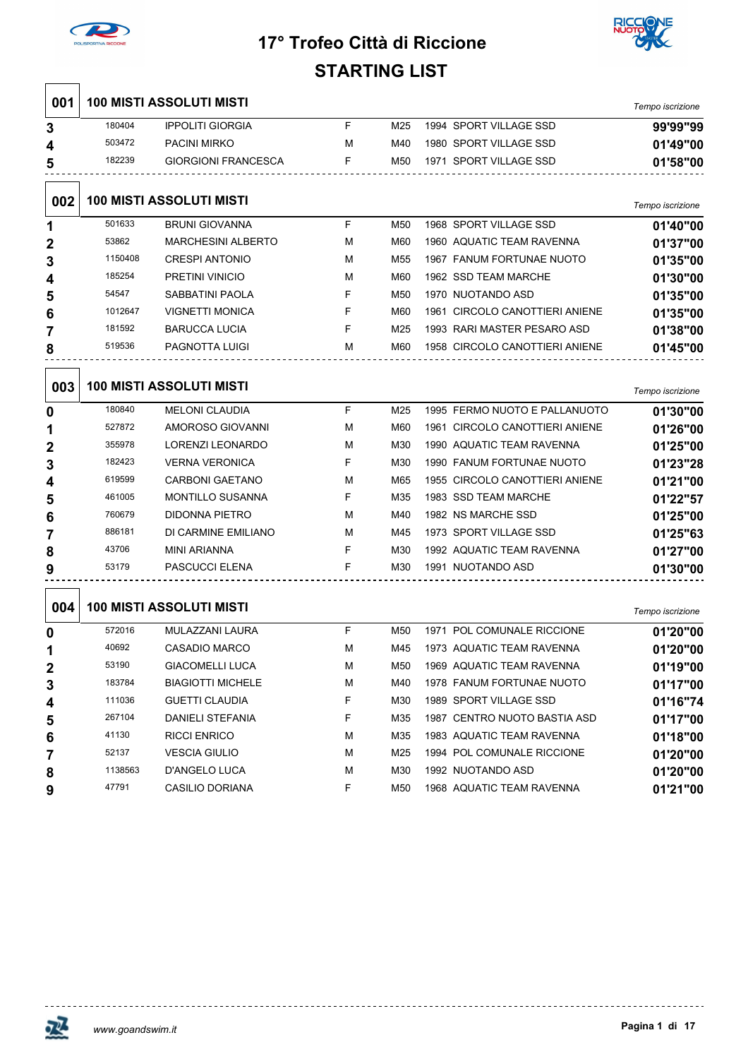



| 001          |         | <b>100 MISTI ASSOLUTI MISTI</b>                |    |                 |                                                  |                  |
|--------------|---------|------------------------------------------------|----|-----------------|--------------------------------------------------|------------------|
|              | 180404  |                                                | F  | M25             |                                                  | Tempo iscrizione |
| 3            | 503472  | <b>IPPOLITI GIORGIA</b><br><b>PACINI MIRKO</b> | м  | M40             | 1994 SPORT VILLAGE SSD<br>1980 SPORT VILLAGE SSD | 99'99"99         |
| 4            | 182239  | <b>GIORGIONI FRANCESCA</b>                     | F  | M50             | 1971 SPORT VILLAGE SSD                           | 01'49"00         |
| 5            |         |                                                |    |                 |                                                  | 01'58"00         |
| 002          |         | <b>100 MISTI ASSOLUTI MISTI</b>                |    |                 |                                                  | Tempo iscrizione |
| 1            | 501633  | <b>BRUNI GIOVANNA</b>                          | F  | M <sub>50</sub> | 1968 SPORT VILLAGE SSD                           | 01'40"00         |
| $\mathbf{2}$ | 53862   | <b>MARCHESINI ALBERTO</b>                      | м  | M60             | 1960 AQUATIC TEAM RAVENNA                        | 01'37"00         |
| 3            | 1150408 | <b>CRESPI ANTONIO</b>                          | м  | M55             | 1967 FANUM FORTUNAE NUOTO                        | 01'35"00         |
| 4            | 185254  | PRETINI VINICIO                                | м  | M60             | 1962 SSD TEAM MARCHE                             | 01'30"00         |
| 5            | 54547   | SABBATINI PAOLA                                | F  | M <sub>50</sub> | 1970 NUOTANDO ASD                                | 01'35"00         |
| 6            | 1012647 | <b>VIGNETTI MONICA</b>                         | F  | M60             | 1961 CIRCOLO CANOTTIERI ANIENE                   | 01'35"00         |
| 7            | 181592  | <b>BARUCCA LUCIA</b>                           | F  | M <sub>25</sub> | 1993 RARI MASTER PESARO ASD                      | 01'38"00         |
| 8            | 519536  | PAGNOTTA LUIGI                                 | м  | M60             | 1958 CIRCOLO CANOTTIERI ANIENE                   | 01'45"00         |
| 003          |         | <b>100 MISTI ASSOLUTI MISTI</b>                |    |                 |                                                  | Tempo iscrizione |
| 0            | 180840  | <b>MELONI CLAUDIA</b>                          | F  | M <sub>25</sub> | 1995 FERMO NUOTO E PALLANUOTO                    | 01'30"00         |
| 1            | 527872  | AMOROSO GIOVANNI                               | м  | M60             | 1961 CIRCOLO CANOTTIERI ANIENE                   | 01'26"00         |
| 2            | 355978  | LORENZI LEONARDO                               | м  | M30             | 1990 AQUATIC TEAM RAVENNA                        | 01'25"00         |
| 3            | 182423  | <b>VERNA VERONICA</b>                          | F  | M30             | 1990 FANUM FORTUNAE NUOTO                        | 01'23"28         |
| 4            | 619599  | <b>CARBONI GAETANO</b>                         | м  | M65             | 1955 CIRCOLO CANOTTIERI ANIENE                   | 01'21"00         |
| 5            | 461005  | MONTILLO SUSANNA                               | F  | M35             | 1983 SSD TEAM MARCHE                             | 01'22"57         |
| 6            | 760679  | DIDONNA PIETRO                                 | м  | M40             | 1982 NS MARCHE SSD                               | 01'25"00         |
| 7            | 886181  | DI CARMINE EMILIANO                            | м  | M45             | 1973 SPORT VILLAGE SSD                           | 01'25"63         |
| 8            | 43706   | <b>MINI ARIANNA</b>                            | F  | M30             | 1992 AQUATIC TEAM RAVENNA                        | 01'27"00         |
| 9            | 53179   | PASCUCCI ELENA                                 | F  | M30             | 1991 NUOTANDO ASD                                | 01'30"00         |
| 004          |         | <b>100 MISTI ASSOLUTI MISTI</b>                |    |                 |                                                  | Tempo iscrizione |
| 0            | 572016  | MULAZZANI LAURA                                | F  | M <sub>50</sub> | 1971 POL COMUNALE RICCIONE                       | 01'20"00         |
| 1            | 40692   | <b>CASADIO MARCO</b>                           | М  | M45             | 1973 AQUATIC TEAM RAVENNA                        | 01'20"00         |
| 2            | 53190   | <b>GIACOMELLI LUCA</b>                         | М  | M50             | 1969 AQUATIC TEAM RAVENNA                        | 01'19"00         |
| 3            | 183784  | <b>BIAGIOTTI MICHELE</b>                       | М  | M40             | 1978 FANUM FORTUNAE NUOTO                        | 01'17"00         |
| 4            | 111036  | <b>GUETTI CLAUDIA</b>                          | F  | M30             | 1989 SPORT VILLAGE SSD                           | 01'16"74         |
| 5            | 267104  | <b>DANIELI STEFANIA</b>                        | F  | M35             | 1987 CENTRO NUOTO BASTIA ASD                     | 01'17"00         |
| 6            | 41130   | <b>RICCI ENRICO</b>                            | М  | M35             | 1983 AQUATIC TEAM RAVENNA                        | 01'18"00         |
| 7            | 52137   | <b>VESCIA GIULIO</b>                           | М  | M25             | 1994 POL COMUNALE RICCIONE                       | 01'20"00         |
| 8            | 1138563 | <b>D'ANGELO LUCA</b>                           | М  | M30             | 1992 NUOTANDO ASD                                | 01'20"00         |
| 9            | 47791   | CASILIO DORIANA                                | F. | M50             | 1968 AQUATIC TEAM RAVENNA                        | 01'21"00         |



<u>-------------</u>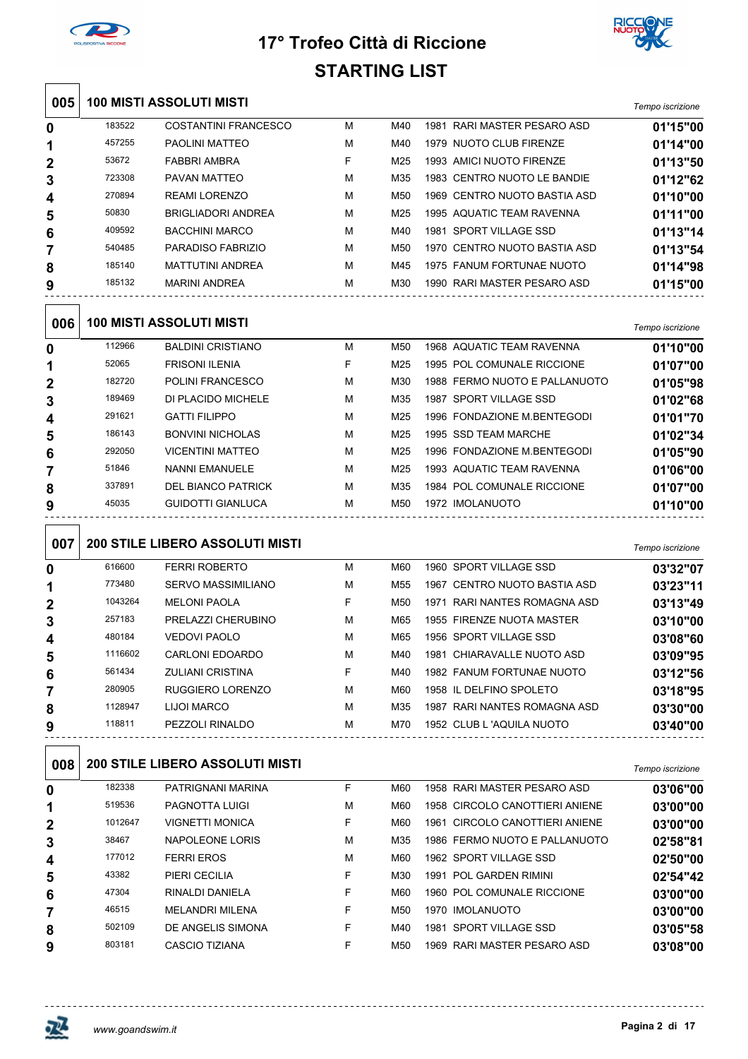



|                |         |                                        | STARTING LIST |                 |                                |                  |
|----------------|---------|----------------------------------------|---------------|-----------------|--------------------------------|------------------|
| 005            |         | <b>100 MISTI ASSOLUTI MISTI</b>        |               |                 |                                | Tempo iscrizione |
| 0              | 183522  | COSTANTINI FRANCESCO                   | м             | M40             | 1981 RARI MASTER PESARO ASD    | 01'15"00         |
| 1              | 457255  | <b>PAOLINI MATTEO</b>                  | М             | M40             | 1979 NUOTO CLUB FIRENZE        | 01'14"00         |
| $\overline{2}$ | 53672   | <b>FABBRI AMBRA</b>                    | F             | M <sub>25</sub> | 1993 AMICI NUOTO FIRENZE       | 01'13"50         |
| 3              | 723308  | <b>PAVAN MATTEO</b>                    | м             | M35             | 1983 CENTRO NUOTO LE BANDIE    | 01'12"62         |
| 4              | 270894  | <b>REAMI LORENZO</b>                   | М             | M50             | 1969 CENTRO NUOTO BASTIA ASD   | 01'10"00         |
| 5              | 50830   | <b>BRIGLIADORI ANDREA</b>              | м             | M25             | 1995 AQUATIC TEAM RAVENNA      | 01'11"00         |
| 6              | 409592  | <b>BACCHINI MARCO</b>                  | м             | M40             | 1981 SPORT VILLAGE SSD         | 01'13"14         |
| $\overline{7}$ | 540485  | PARADISO FABRIZIO                      | М             | M50             | 1970 CENTRO NUOTO BASTIA ASD   | 01'13"54         |
| 8              | 185140  | <b>MATTUTINI ANDREA</b>                | м             | M45             | 1975 FANUM FORTUNAE NUOTO      | 01'14"98         |
| 9              | 185132  | <b>MARINI ANDREA</b>                   | м             | M30             | 1990 RARI MASTER PESARO ASD    | 01'15"00         |
| 006            |         | <b>100 MISTI ASSOLUTI MISTI</b>        |               |                 |                                | Tempo iscrizione |
| 0              | 112966  | <b>BALDINI CRISTIANO</b>               | М             | M50             | 1968 AQUATIC TEAM RAVENNA      | 01'10"00         |
| 1              | 52065   | <b>FRISONI ILENIA</b>                  | F             | M25             | 1995 POL COMUNALE RICCIONE     | 01'07"00         |
| $\overline{2}$ | 182720  | POLINI FRANCESCO                       | м             | M30             | 1988 FERMO NUOTO E PALLANUOTO  | 01'05"98         |
| 3              | 189469  | DI PLACIDO MICHELE                     | М             | M35             | 1987 SPORT VILLAGE SSD         | 01'02"68         |
| 4              | 291621  | <b>GATTI FILIPPO</b>                   | м             | M25             | 1996 FONDAZIONE M.BENTEGODI    | 01'01"70         |
| 5              | 186143  | <b>BONVINI NICHOLAS</b>                | м             | M <sub>25</sub> | 1995 SSD TEAM MARCHE           | 01'02"34         |
| 6              | 292050  | <b>VICENTINI MATTEO</b>                | м             | M25             | 1996 FONDAZIONE M.BENTEGODI    | 01'05"90         |
| 7              | 51846   | <b>NANNI EMANUELE</b>                  | м             | M25             | 1993 AQUATIC TEAM RAVENNA      | 01'06"00         |
| 8              | 337891  | <b>DEL BIANCO PATRICK</b>              | м             | M35             | 1984 POL COMUNALE RICCIONE     | 01'07"00         |
| 9              | 45035   | <b>GUIDOTTI GIANLUCA</b>               | м             | M50             | 1972 IMOLANUOTO                | 01'10"00         |
| 007            |         | <b>200 STILE LIBERO ASSOLUTI MISTI</b> |               |                 |                                | Tempo iscrizione |
| 0              | 616600  | <b>FERRI ROBERTO</b>                   | м             | M60             | 1960 SPORT VILLAGE SSD         | 03'32"07         |
| 1              | 773480  | <b>SERVO MASSIMILIANO</b>              | м             | M <sub>55</sub> | 1967 CENTRO NUOTO BASTIA ASD   | 03'23"11         |
| $\mathbf{2}$   | 1043264 | <b>MELONI PAOLA</b>                    | F             | M50             | 1971 RARI NANTES ROMAGNA ASD   | 03'13"49         |
| 3              | 257183  | PRELAZZI CHERUBINO                     | м             | M65             | 1955 FIRENZE NUOTA MASTER      | 03'10"00         |
| 4              | 480184  | <b>VEDOVI PAOLO</b>                    | M             | M65             | 1956 SPORT VILLAGE SSD         | 03'08"60         |
| 5              | 1116602 | <b>CARLONI EDOARDO</b>                 | M             | M40             | 1981 CHIARAVALLE NUOTO ASD     | 03'09"95         |
| 6              | 561434  | <b>ZULIANI CRISTINA</b>                | F             | M40             | 1982 FANUM FORTUNAE NUOTO      | 03'12"56         |
| 7              | 280905  | RUGGIERO LORENZO                       | м             | M60             | 1958 IL DELFINO SPOLETO        | 03'18"95         |
| 8              | 1128947 | LIJOI MARCO                            | м             | M35             | 1987 RARI NANTES ROMAGNA ASD   | 03'30"00         |
| 9              | 118811  | PEZZOLI RINALDO                        | м             | M70             | 1952 CLUB L 'AQUILA NUOTO      | 03'40"00         |
| 008            |         | <b>200 STILE LIBERO ASSOLUTI MISTI</b> |               |                 |                                | Tempo iscrizione |
| 0              | 182338  | PATRIGNANI MARINA                      | F             | M60             | 1958 RARI MASTER PESARO ASD    | 03'06"00         |
| 1              | 519536  | PAGNOTTA LUIGI                         | М             | M60             | 1958 CIRCOLO CANOTTIERI ANIENE | 03'00"00         |
| 2              | 1012647 | <b>VIGNETTI MONICA</b>                 | F             | M60             | 1961 CIRCOLO CANOTTIERI ANIENE | 03'00"00         |
| 3              | 38467   | NAPOLEONE LORIS                        | M             | M35             | 1986 FERMO NUOTO E PALLANUOTO  | 02'58"81         |
| 4              | 177012  | <b>FERRI EROS</b>                      | м             | M60             | 1962 SPORT VILLAGE SSD         | 02'50"00         |
| 5              | 43382   | PIERI CECILIA                          | F             | M30             | 1991 POL GARDEN RIMINI         | 02'54"42         |
| 6              | 47304   | RINALDI DANIELA                        | F             | M60             | 1960 POL COMUNALE RICCIONE     | 03'00"00         |
| 7              | 46515   | <b>MELANDRI MILENA</b>                 | F             | M50             | 1970 IMOLANUOTO                | 03'00"00         |
| 8              | 502109  | DE ANGELIS SIMONA                      | F             | M40             | 1981 SPORT VILLAGE SSD         | 03'05"58         |
| 9              | 803181  | CASCIO TIZIANA                         | F             | M50             | 1969 RARI MASTER PESARO ASD    | 03'08"00         |

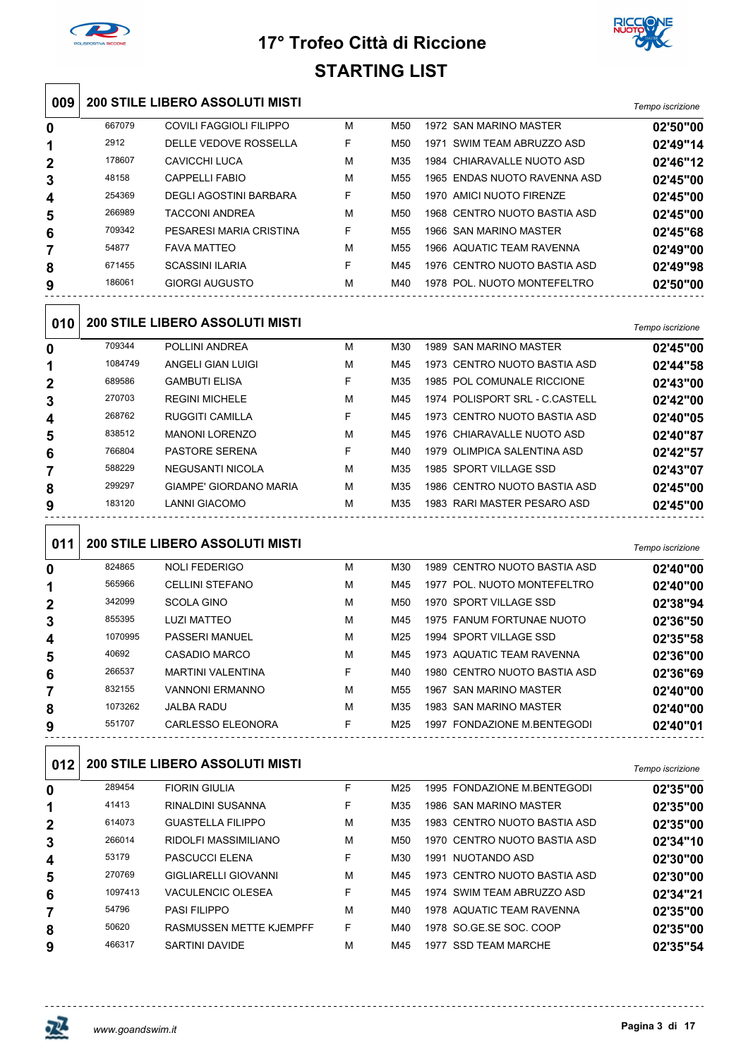



| 009          |         | <b>200 STILE LIBERO ASSOLUTI MISTI</b> |   |                 |                                | Tempo iscrizione |
|--------------|---------|----------------------------------------|---|-----------------|--------------------------------|------------------|
| 0            | 667079  | <b>COVILI FAGGIOLI FILIPPO</b>         | м | M50             | 1972 SAN MARINO MASTER         | 02'50"00         |
| 1            | 2912    | DELLE VEDOVE ROSSELLA                  | F | M50             | 1971 SWIM TEAM ABRUZZO ASD     | 02'49"14         |
| $\mathbf{2}$ | 178607  | <b>CAVICCHI LUCA</b>                   | м | M35             | 1984 CHIARAVALLE NUOTO ASD     | 02'46"12         |
| 3            | 48158   | <b>CAPPELLI FABIO</b>                  | м | M <sub>55</sub> | 1965 ENDAS NUOTO RAVENNA ASD   | 02'45"00         |
| 4            | 254369  | <b>DEGLI AGOSTINI BARBARA</b>          | F | M50             | 1970 AMICI NUOTO FIRENZE       | 02'45"00         |
| 5            | 266989  | <b>TACCONI ANDREA</b>                  | м | M50             | 1968 CENTRO NUOTO BASTIA ASD   | 02'45"00         |
| 6            | 709342  | PESARESI MARIA CRISTINA                | F | M <sub>55</sub> | 1966 SAN MARINO MASTER         | 02'45"68         |
| 7            | 54877   | <b>FAVA MATTEO</b>                     | M | M <sub>55</sub> | 1966 AQUATIC TEAM RAVENNA      | 02'49"00         |
| 8            | 671455  | <b>SCASSINI ILARIA</b>                 | F | M45             | 1976 CENTRO NUOTO BASTIA ASD   | 02'49"98         |
| 9            | 186061  | <b>GIORGI AUGUSTO</b>                  | м | M40             | 1978 POL. NUOTO MONTEFELTRO    | 02'50"00         |
|              |         |                                        |   |                 |                                |                  |
| 010          |         | <b>200 STILE LIBERO ASSOLUTI MISTI</b> |   |                 |                                | Tempo iscrizione |
| 0            | 709344  | POLLINI ANDREA                         | м | M30             | 1989 SAN MARINO MASTER         | 02'45"00         |
| 1            | 1084749 | ANGELI GIAN LUIGI                      | M | M45             | 1973 CENTRO NUOTO BASTIA ASD   | 02'44"58         |
| 2            | 689586  | <b>GAMBUTI ELISA</b>                   | F | M35             | 1985 POL COMUNALE RICCIONE     | 02'43"00         |
| 3            | 270703  | <b>REGINI MICHELE</b>                  | м | M45             | 1974 POLISPORT SRL - C.CASTELL | 02'42"00         |
| 4            | 268762  | <b>RUGGITI CAMILLA</b>                 | F | M45             | 1973 CENTRO NUOTO BASTIA ASD   | 02'40"05         |
| 5            | 838512  | MANONI LORENZO                         | м | M45             | 1976 CHIARAVALLE NUOTO ASD     | 02'40"87         |
| 6            | 766804  | <b>PASTORE SERENA</b>                  | F | M40             | 1979 OLIMPICA SALENTINA ASD    | 02'42"57         |
| 7            | 588229  | <b>NEGUSANTI NICOLA</b>                | м | M35             | 1985 SPORT VILLAGE SSD         | 02'43"07         |
| 8            | 299297  | GIAMPE' GIORDANO MARIA                 | м | M35             | 1986 CENTRO NUOTO BASTIA ASD   | 02'45"00         |
| 9            | 183120  | <b>LANNI GIACOMO</b>                   | м | M35             | 1983 RARI MASTER PESARO ASD    | 02'45"00         |
|              |         |                                        |   |                 |                                |                  |
| 011          |         | <b>200 STILE LIBERO ASSOLUTI MISTI</b> |   |                 |                                | Tempo iscrizione |
| 0            | 824865  | <b>NOLI FEDERIGO</b>                   | М | M30             | 1989 CENTRO NUOTO BASTIA ASD   | 02'40"00         |
| 1            | 565966  | <b>CELLINI STEFANO</b>                 | M | M45             | 1977 POL. NUOTO MONTEFELTRO    | 02'40"00         |
| 2            | 342099  | <b>SCOLA GINO</b>                      | м | M50             | 1970 SPORT VILLAGE SSD         | 02'38"94         |
| 3            | 855395  | <b>LUZI MATTEO</b>                     | м | M45             | 1975 FANUM FORTUNAE NUOTO      | 02'36"50         |
| 4            | 1070995 | <b>PASSERI MANUEL</b>                  | M | M25             | 1994 SPORT VILLAGE SSD         | 02'35"58         |



| 012          |         | 200 STILE LIBERO ASSOLUTI MISTI |   |     |                              | Tempo iscrizione |
|--------------|---------|---------------------------------|---|-----|------------------------------|------------------|
| 0            | 289454  | <b>FIORIN GIULIA</b>            | F | M25 | 1995 FONDAZIONE M.BENTEGODI  | 02'35"00         |
| 1            | 41413   | <b>RINALDINI SUSANNA</b>        | F | M35 | 1986 SAN MARINO MASTER       | 02'35"00         |
| $\mathbf{2}$ | 614073  | <b>GUASTELLA FILIPPO</b>        | M | M35 | 1983 CENTRO NUOTO BASTIA ASD | 02'35"00         |
| 3            | 266014  | RIDOLFI MASSIMILIANO            | M | M50 | 1970 CENTRO NUOTO BASTIA ASD | 02'34"10         |
| 4            | 53179   | <b>PASCUCCI ELENA</b>           | F | M30 | NUOTANDO ASD<br>1991         | 02'30"00         |
| 5            | 270769  | <b>GIGLIARELLI GIOVANNI</b>     | M | M45 | 1973 CENTRO NUOTO BASTIA ASD | 02'30"00         |
| 6            | 1097413 | <b>VACULENCIC OLESEA</b>        | F | M45 | 1974 SWIM TEAM ABRUZZO ASD   | 02'34"21         |
| 7            | 54796   | <b>PASI FILIPPO</b>             | M | M40 | 1978 AQUATIC TEAM RAVENNA    | 02'35"00         |
| 8            | 50620   | RASMUSSEN METTE KJEMPFF         | F | M40 | 1978 SO.GE.SE SOC. COOP      | 02'35"00         |
| 9            | 466317  | <b>SARTINI DAVIDE</b>           | M | M45 | SSD TFAM MARCHE<br>1977      | 02'35"54         |

CASADIO MARCO M M45 1973 AQUATIC TEAM RAVENNA **02'36"00**

MARTINI VALENTINA F M40 1980 CENTRO NUOTO BASTIA ASD **02'36"69**

VANNONI ERMANNO M M55 1967 SAN MARINO MASTER **02'40"00**

JALBA RADU M M35 1983 SAN MARINO MASTER **02'40"00**

CARLESSO ELEONORA F M25 1997 FONDAZIONE M.BENTEGODI **02'40"01**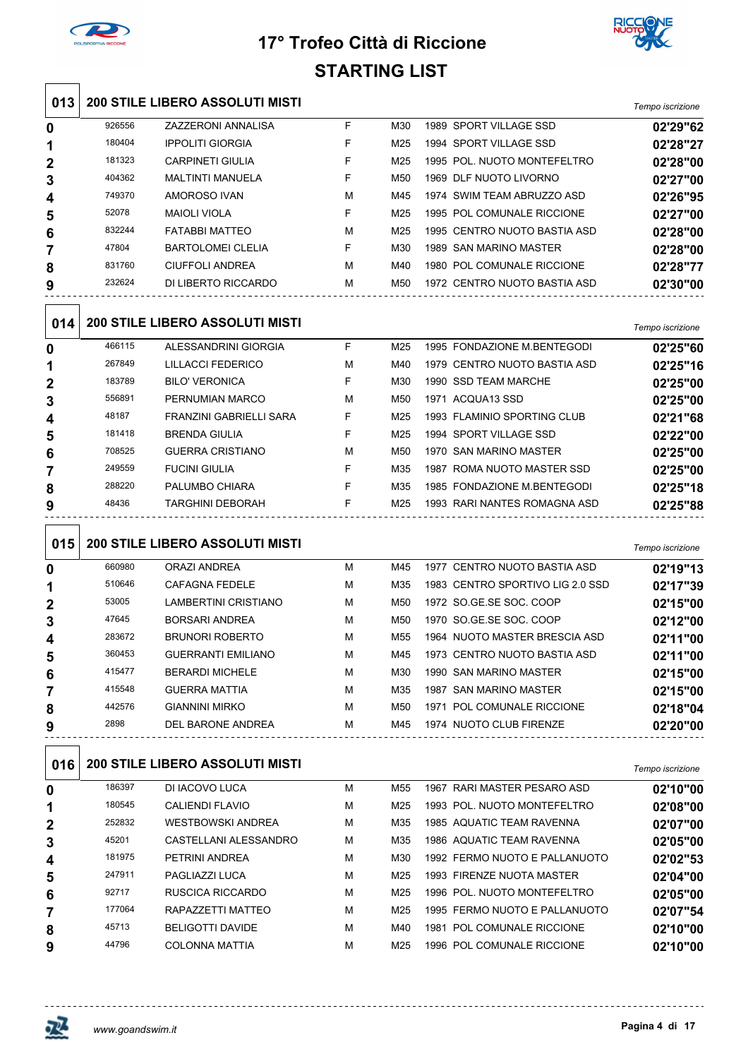



|     |        |                                        | <b>STARTING LIST</b> |                 |                                  |                  |
|-----|--------|----------------------------------------|----------------------|-----------------|----------------------------------|------------------|
| 013 |        | <b>200 STILE LIBERO ASSOLUTI MISTI</b> |                      |                 |                                  | Tempo iscrizione |
| 0   | 926556 | ZAZZERONI ANNALISA                     | F                    | M30             | 1989 SPORT VILLAGE SSD           | 02'29"62         |
| 1   | 180404 | <b>IPPOLITI GIORGIA</b>                | F                    | M25             | 1994 SPORT VILLAGE SSD           | 02'28"27         |
| 2   | 181323 | <b>CARPINETI GIULIA</b>                | F                    | M25             | 1995 POL. NUOTO MONTEFELTRO      | 02'28"00         |
| 3   | 404362 | <b>MALTINTI MANUELA</b>                | F                    | M50             | 1969 DLF NUOTO LIVORNO           | 02'27"00         |
| 4   | 749370 | AMOROSO IVAN                           | м                    | M45             | 1974 SWIM TEAM ABRUZZO ASD       | 02'26"95         |
| 5   | 52078  | <b>MAIOLI VIOLA</b>                    | F                    | M <sub>25</sub> | 1995 POL COMUNALE RICCIONE       | 02'27"00         |
| 6   | 832244 | <b>FATABBI MATTEO</b>                  | м                    | M25             | 1995 CENTRO NUOTO BASTIA ASD     | 02'28"00         |
| 7   | 47804  | <b>BARTOLOMEI CLELIA</b>               | F                    | M30             | 1989 SAN MARINO MASTER           | 02'28"00         |
| 8   | 831760 | <b>CIUFFOLI ANDREA</b>                 | м                    | M40             | 1980 POL COMUNALE RICCIONE       | 02'28"77         |
| 9   | 232624 | DI LIBERTO RICCARDO                    | М                    | M50             | 1972 CENTRO NUOTO BASTIA ASD     | 02'30"00         |
| 014 |        | <b>200 STILE LIBERO ASSOLUTI MISTI</b> |                      |                 |                                  | Tempo iscrizione |
| 0   | 466115 | ALESSANDRINI GIORGIA                   | F                    | M <sub>25</sub> | 1995 FONDAZIONE M.BENTEGODI      | 02'25"60         |
| 1   | 267849 | <b>LILLACCI FEDERICO</b>               | м                    | M40             | 1979 CENTRO NUOTO BASTIA ASD     | 02'25"16         |
| 2   | 183789 | <b>BILO' VERONICA</b>                  | F                    | M30             | 1990 SSD TEAM MARCHE             | 02'25"00         |
| 3   | 556891 | PERNUMIAN MARCO                        | м                    | M50             | 1971 ACQUA13 SSD                 | 02'25"00         |
| 4   | 48187  | FRANZINI GABRIELLI SARA                | F                    | M <sub>25</sub> | 1993 FLAMINIO SPORTING CLUB      | 02'21"68         |
| 5   | 181418 | <b>BRENDA GIULIA</b>                   | F                    | M <sub>25</sub> | 1994 SPORT VILLAGE SSD           | 02'22"00         |
| 6   | 708525 | <b>GUERRA CRISTIANO</b>                | м                    | M50             | 1970 SAN MARINO MASTER           | 02'25"00         |
| 7   | 249559 | <b>FUCINI GIULIA</b>                   | F                    | M35             | 1987 ROMA NUOTO MASTER SSD       | 02'25"00         |
| 8   | 288220 | PALUMBO CHIARA                         | F                    | M35             | 1985 FONDAZIONE M.BENTEGODI      | 02'25"18         |
| 9   | 48436  | TARGHINI DEBORAH                       | F                    | M25             | 1993 RARI NANTES ROMAGNA ASD     | 02'25"88         |
| 015 |        | <b>200 STILE LIBERO ASSOLUTI MISTI</b> |                      |                 |                                  | Tempo iscrizione |
| 0   | 660980 | <b>ORAZI ANDREA</b>                    | м                    | M45             | 1977 CENTRO NUOTO BASTIA ASD     | 02'19"13         |
| 1   | 510646 | <b>CAFAGNA FEDELE</b>                  | м                    | M35             | 1983 CENTRO SPORTIVO LIG 2.0 SSD | 02'17"39         |
| 2   | 53005  | LAMBERTINI CRISTIANO                   | М                    | M50             | 1972 SO.GE.SE SOC. COOP          | 02'15"00         |
| 3   | 47645  | <b>BORSARI ANDREA</b>                  | М                    | M50             | 1970 SO.GE.SE SOC. COOP          | 02'12"00         |
| 4   | 283672 | <b>BRUNORI ROBERTO</b>                 | м                    | M <sub>55</sub> | 1964 NUOTO MASTER BRESCIA ASD    | 02'11"00         |
| 5   | 360453 | <b>GUERRANTI EMILIANO</b>              | М                    | M45             | 1973 CENTRO NUOTO BASTIA ASD     | 02'11"00         |
| 6   | 415477 | <b>BERARDI MICHELE</b>                 | М                    | M30             | 1990 SAN MARINO MASTER           | 02'15"00         |
| 7   | 415548 | <b>GUERRA MATTIA</b>                   | м                    | M35             | 1987 SAN MARINO MASTER           | 02'15"00         |
| 8   | 442576 | <b>GIANNINI MIRKO</b>                  | м                    | M50             | 1971 POL COMUNALE RICCIONE       | 02'18"04         |
| 9   | 2898   | DEL BARONE ANDREA                      | М                    | M45             | 1974 NUOTO CLUB FIRENZE          | 02'20"00         |
| 016 |        | <b>200 STILE LIBERO ASSOLUTI MISTI</b> |                      |                 |                                  | Tempo iscrizione |
| 0   | 186397 | DI IACOVO LUCA                         | м                    | M55             | 1967 RARI MASTER PESARO ASD      | 02'10"00         |
| 1   | 180545 | <b>CALIENDI FLAVIO</b>                 | М                    | M25             | 1993 POL. NUOTO MONTEFELTRO      | 02'08"00         |
| 2   | 252832 | WESTBOWSKI ANDREA                      | М                    | M35             | 1985 AQUATIC TEAM RAVENNA        | 02'07"00         |
| 3   | 45201  | CASTELLANI ALESSANDRO                  | м                    | M35             | 1986 AQUATIC TEAM RAVENNA        | 02'05"00         |
| 4   | 181975 | PETRINI ANDREA                         | М                    | M30             | 1992 FERMO NUOTO E PALLANUOTO    | 02'02"53         |
| 5   | 247911 | PAGLIAZZI LUCA                         | М                    | M25             | 1993 FIRENZE NUOTA MASTER        | 02'04"00         |

RUSCICA RICCARDO M M25 1996 POL. NUOTO MONTEFELTRO **02'05"00**

RAPAZZETTI MATTEO M M25 1995 FERMO NUOTO E PALLANUOTO **02'07"54**

BELIGOTTI DAVIDE M M40 1981 POL COMUNALE RICCIONE **02'10"00**

COLONNA MATTIA M M25 1996 POL COMUNALE RICCIONE **02'10"00**

<u>------------</u>

巫

<u> - - - - - - - - - - - -</u>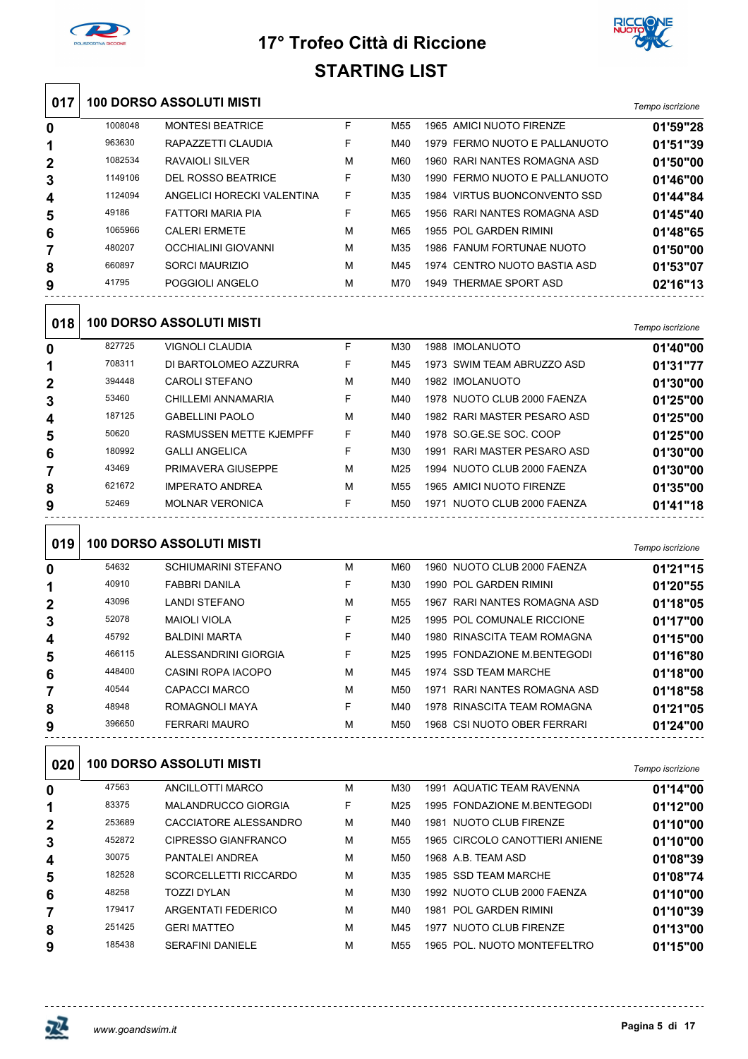



| 017              |         | <b>100 DORSO ASSOLUTI MISTI</b> |   |                 |                                | Tempo iscrizione |
|------------------|---------|---------------------------------|---|-----------------|--------------------------------|------------------|
| 0                | 1008048 | <b>MONTESI BEATRICE</b>         | F | M <sub>55</sub> | 1965 AMICI NUOTO FIRENZE       | 01'59"28         |
| 1                | 963630  | RAPAZZETTI CLAUDIA              | F | M40             | 1979 FERMO NUOTO E PALLANUOTO  | 01'51"39         |
| $\mathbf{2}$     | 1082534 | <b>RAVAIOLI SILVER</b>          | М | M60             | 1960 RARI NANTES ROMAGNA ASD   | 01'50"00         |
| 3                | 1149106 | <b>DEL ROSSO BEATRICE</b>       | F | M30             | 1990 FERMO NUOTO E PALLANUOTO  | 01'46"00         |
| 4                | 1124094 | ANGELICI HORECKI VALENTINA      | F | M35             | 1984 VIRTUS BUONCONVENTO SSD   | 01'44"84         |
| 5                | 49186   | FATTORI MARIA PIA               | F | M65             | 1956 RARI NANTES ROMAGNA ASD   | 01'45"40         |
| 6                | 1065966 | <b>CALERI ERMETE</b>            | М | M65             | 1955 POL GARDEN RIMINI         | 01'48"65         |
| 7                | 480207  | <b>OCCHIALINI GIOVANNI</b>      | М | M35             | 1986 FANUM FORTUNAE NUOTO      | 01'50"00         |
| 8                | 660897  | <b>SORCI MAURIZIO</b>           | М | M45             | 1974 CENTRO NUOTO BASTIA ASD   | 01'53"07         |
| 9                | 41795   | POGGIOLI ANGELO                 | м | M70             | 1949 THERMAE SPORT ASD         | 02'16"13         |
| 018              |         | <b>100 DORSO ASSOLUTI MISTI</b> |   |                 |                                | Tempo iscrizione |
| 0                | 827725  | <b>VIGNOLI CLAUDIA</b>          | F | M30             | 1988 IMOLANUOTO                | 01'40"00         |
| 1                | 708311  | DI BARTOLOMEO AZZURRA           | F | M45             | 1973 SWIM TEAM ABRUZZO ASD     | 01'31"77         |
| $\mathbf{2}$     | 394448  | <b>CAROLI STEFANO</b>           | М | M40             | 1982 IMOLANUOTO                | 01'30"00         |
| 3                | 53460   | CHILLEMI ANNAMARIA              | F | M40             | 1978 NUOTO CLUB 2000 FAENZA    | 01'25"00         |
| 4                | 187125  | <b>GABELLINI PAOLO</b>          | М | M40             | 1982 RARI MASTER PESARO ASD    | 01'25"00         |
| 5                | 50620   | RASMUSSEN METTE KJEMPFF         | F | M40             | 1978 SO.GE.SE SOC. COOP        | 01'25"00         |
| 6                | 180992  | <b>GALLI ANGELICA</b>           | F | M30             | 1991 RARI MASTER PESARO ASD    | 01'30"00         |
| 7                | 43469   | PRIMAVERA GIUSEPPE              | М | M25             | 1994 NUOTO CLUB 2000 FAENZA    | 01'30"00         |
| 8                | 621672  | <b>IMPERATO ANDREA</b>          | М | M55             | 1965 AMICI NUOTO FIRENZE       | 01'35"00         |
| 9                | 52469   | <b>MOLNAR VERONICA</b>          | F | M50             | 1971 NUOTO CLUB 2000 FAENZA    | 01'41"18         |
| 019              |         | <b>100 DORSO ASSOLUTI MISTI</b> |   |                 |                                | Tempo iscrizione |
| 0                | 54632   | <b>SCHIUMARINI STEFANO</b>      | М | M60             | 1960 NUOTO CLUB 2000 FAENZA    | 01'21"15         |
| 1                | 40910   | <b>FABBRI DANILA</b>            | F | M30             | 1990 POL GARDEN RIMINI         | 01'20"55         |
| $\mathbf{2}$     | 43096   | <b>LANDI STEFANO</b>            | М | M55             | 1967 RARI NANTES ROMAGNA ASD   | 01'18"05         |
| 3                | 52078   | <b>MAIOLI VIOLA</b>             | F | M25             | 1995 POL COMUNALE RICCIONE     | 01'17"00         |
| 4                | 45792   | BALDINI MARTA                   | F | M40             | 1980 RINASCITA TEAM ROMAGNA    | 01'15"00         |
| 5                | 466115  | ALESSANDRINI GIORGIA            | F | M25             | 1995 FONDAZIONE M.BENTEGODI    | 01'16"80         |
| 6                | 448400  | CASINI ROPA IACOPO              | М | M45             | 1974 SSD TEAM MARCHE           | 01'18"00         |
| 7                | 40544   | <b>CAPACCI MARCO</b>            | М | M50             | 1971 RARI NANTES ROMAGNA ASD   | 01'18"58         |
| 8                | 48948   | ROMAGNOLI MAYA                  | F | M40             | 1978 RINASCITA TEAM ROMAGNA    | 01'21"05         |
| 9                | 396650  | FERRARI MAURO                   | М | M50             | 1968 CSI NUOTO OBER FERRARI    | 01'24"00         |
| 020              |         | <b>100 DORSO ASSOLUTI MISTI</b> |   |                 |                                | Tempo iscrizione |
| $\boldsymbol{0}$ | 47563   | <b>ANCILLOTTI MARCO</b>         | М | M30             | 1991 AQUATIC TEAM RAVENNA      | 01'14"00         |
| 1                | 83375   | MALANDRUCCO GIORGIA             | F | M25             | 1995 FONDAZIONE M.BENTEGODI    | 01'12"00         |
| 2                | 253689  | CACCIATORE ALESSANDRO           | М | M40             | 1981 NUOTO CLUB FIRENZE        | 01'10"00         |
| 3                | 452872  | <b>CIPRESSO GIANFRANCO</b>      | М | M55             | 1965 CIRCOLO CANOTTIERI ANIENE | 01'10"00         |
| 4                | 30075   | PANTALEI ANDREA                 | М | M50             | 1968 A.B. TEAM ASD             | 01'08"39         |
| 5                | 182528  | SCORCELLETTI RICCARDO           | М | M35             | 1985 SSD TEAM MARCHE           | 01'08"74         |
| 6                | 48258   | TOZZI DYLAN                     | М | M30             | 1992 NUOTO CLUB 2000 FAENZA    | 01'10"00         |
| 7                | 179417  | <b>ARGENTATI FEDERICO</b>       | М | M40             | 1981 POL GARDEN RIMINI         | 01'10"39         |
| 8                | 251425  | <b>GERI MATTEO</b>              | М | M45             | 1977 NUOTO CLUB FIRENZE        | 01'13"00         |
| 9                | 185438  | <b>SERAFINI DANIELE</b>         | М | M55             | 1965 POL. NUOTO MONTEFELTRO    | 01'15"00         |

<u> - - - - - - - - - - - -</u>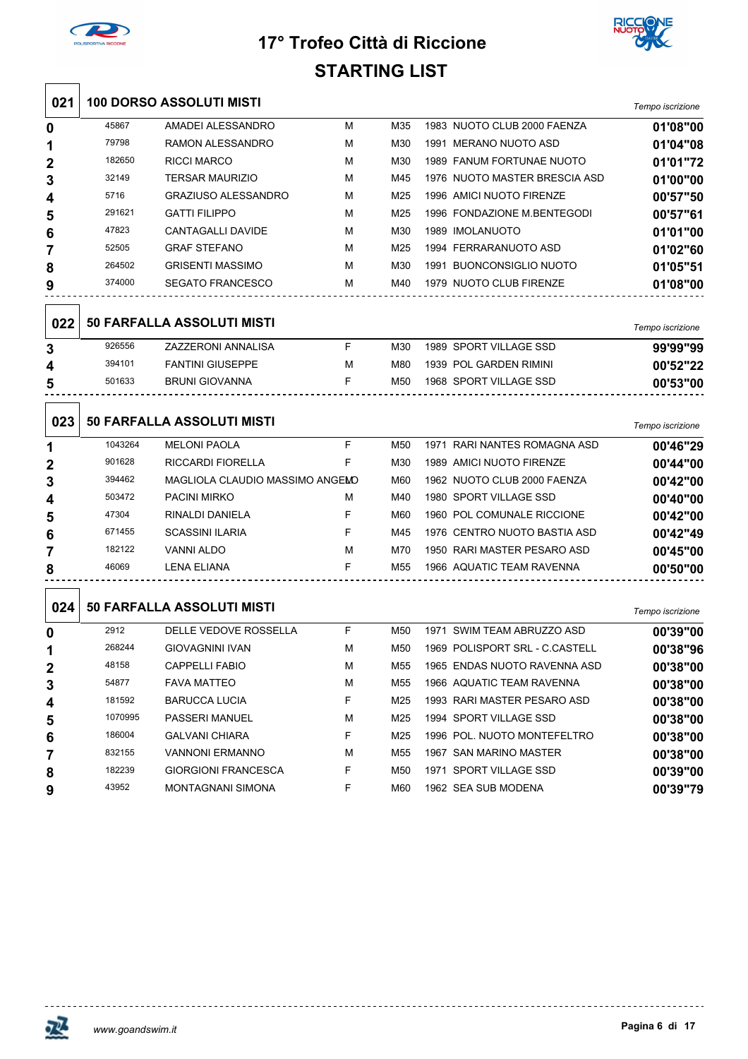



| 021    |         | <b>100 DORSO ASSOLUTI MISTI</b>   |   |                 |                                | Tempo iscrizione     |
|--------|---------|-----------------------------------|---|-----------------|--------------------------------|----------------------|
| 0      | 45867   | AMADEI ALESSANDRO                 | М | M35             | 1983 NUOTO CLUB 2000 FAENZA    | 01'08"00             |
| 1      | 79798   | RAMON ALESSANDRO                  | М | M30             | 1991 MERANO NUOTO ASD          | 01'04"08             |
| 2      | 182650  | <b>RICCI MARCO</b>                | М | M30             | 1989 FANUM FORTUNAE NUOTO      | 01'01"72             |
| 3      | 32149   | TERSAR MAURIZIO                   | М | M45             | 1976 NUOTO MASTER BRESCIA ASD  | 01'00"00             |
| 4      | 5716    | <b>GRAZIUSO ALESSANDRO</b>        | М | M25             | 1996 AMICI NUOTO FIRENZE       | 00'57"50             |
| 5      | 291621  | <b>GATTI FILIPPO</b>              | М | M25             | 1996 FONDAZIONE M.BENTEGODI    | 00'57"61             |
| 6      | 47823   | CANTAGALLI DAVIDE                 | М | M30             | 1989 IMOLANUOTO                | 01'01"00             |
| 7      | 52505   | <b>GRAF STEFANO</b>               | М | M25             | 1994 FERRARANUOTO ASD          | 01'02"60             |
| 8      | 264502  | <b>GRISENTI MASSIMO</b>           | М | M30             | 1991 BUONCONSIGLIO NUOTO       | 01'05"51             |
| 9      | 374000  | <b>SEGATO FRANCESCO</b>           | М | M40             | 1979 NUOTO CLUB FIRENZE        | 01'08"00             |
| 022    |         | <b>50 FARFALLA ASSOLUTI MISTI</b> |   |                 |                                | Tempo iscrizione     |
|        | 926556  | ZAZZERONI ANNALISA                | F | M30             | 1989 SPORT VILLAGE SSD         |                      |
| 3      | 394101  | <b>FANTINI GIUSEPPE</b>           | м | M80             | 1939 POL GARDEN RIMINI         | 99'99"99<br>00'52"22 |
| 4<br>5 | 501633  | <b>BRUNI GIOVANNA</b>             | F | M50             | 1968 SPORT VILLAGE SSD         | 00'53"00             |
| 023    |         | 50 FARFALLA ASSOLUTI MISTI        |   |                 |                                | Tempo iscrizione     |
| 1      | 1043264 | <b>MELONI PAOLA</b>               | F | M <sub>50</sub> | 1971 RARI NANTES ROMAGNA ASD   | 00'46"29             |
| 2      | 901628  | RICCARDI FIORELLA                 | F | M30             | 1989 AMICI NUOTO FIRENZE       | 00'44"00             |
| 3      | 394462  | MAGLIOLA CLAUDIO MASSIMO ANGEMO   |   | M60             | 1962 NUOTO CLUB 2000 FAENZA    | 00'42"00             |
| 4      | 503472  | <b>PACINI MIRKO</b>               | м | M40             | 1980 SPORT VILLAGE SSD         | 00'40"00             |
| 5      | 47304   | RINALDI DANIELA                   | F | M60             | 1960 POL COMUNALE RICCIONE     | 00'42"00             |
| 6      | 671455  | <b>SCASSINI ILARIA</b>            | F | M45             | 1976 CENTRO NUOTO BASTIA ASD   | 00'42"49             |
| 7      | 182122  | VANNI ALDO                        | М | M70             | 1950 RARI MASTER PESARO ASD    | 00'45"00             |
| 8      | 46069   | <b>LENA ELIANA</b>                | F | M <sub>55</sub> | 1966 AQUATIC TEAM RAVENNA      | 00'50"00             |
| 024    |         | 50 FARFALLA ASSOLUTI MISTI        |   |                 |                                | Tempo iscrizione     |
| 0      | 2912    | DELLE VEDOVE ROSSELLA             | F | M50             | 1971 SWIM TEAM ABRUZZO ASD     | 00'39"00             |
| 1      | 268244  | <b>GIOVAGNINI IVAN</b>            | М | M50             | 1969 POLISPORT SRL - C.CASTELL | 00'38"96             |
| 2      | 48158   | CAPPELLI FABIO                    | М | M55             | 1965 ENDAS NUOTO RAVENNA ASD   | 00'38"00             |
| 3      | 54877   | <b>FAVA MATTEO</b>                | М | M55             | 1966 AQUATIC TEAM RAVENNA      | 00'38"00             |
| 4      | 181592  | <b>BARUCCA LUCIA</b>              | F | M25             | 1993 RARI MASTER PESARO ASD    | 00'38"00             |
| 5      | 1070995 | PASSERI MANUEL                    | М | M25             | 1994 SPORT VILLAGE SSD         | 00'38"00             |
| 6      | 186004  | <b>GALVANI CHIARA</b>             | F | M25             | 1996 POL. NUOTO MONTEFELTRO    | 00'38"00             |
| 7      | 832155  | <b>VANNONI ERMANNO</b>            | М | M55             | 1967 SAN MARINO MASTER         | 00'38"00             |
| 8      | 182239  | <b>GIORGIONI FRANCESCA</b>        | F | M50             | 1971 SPORT VILLAGE SSD         | 00'39"00             |
| 9      | 43952   | MONTAGNANI SIMONA                 | F | M60             | 1962 SEA SUB MODENA            | 00'39"79             |



<u>------------</u>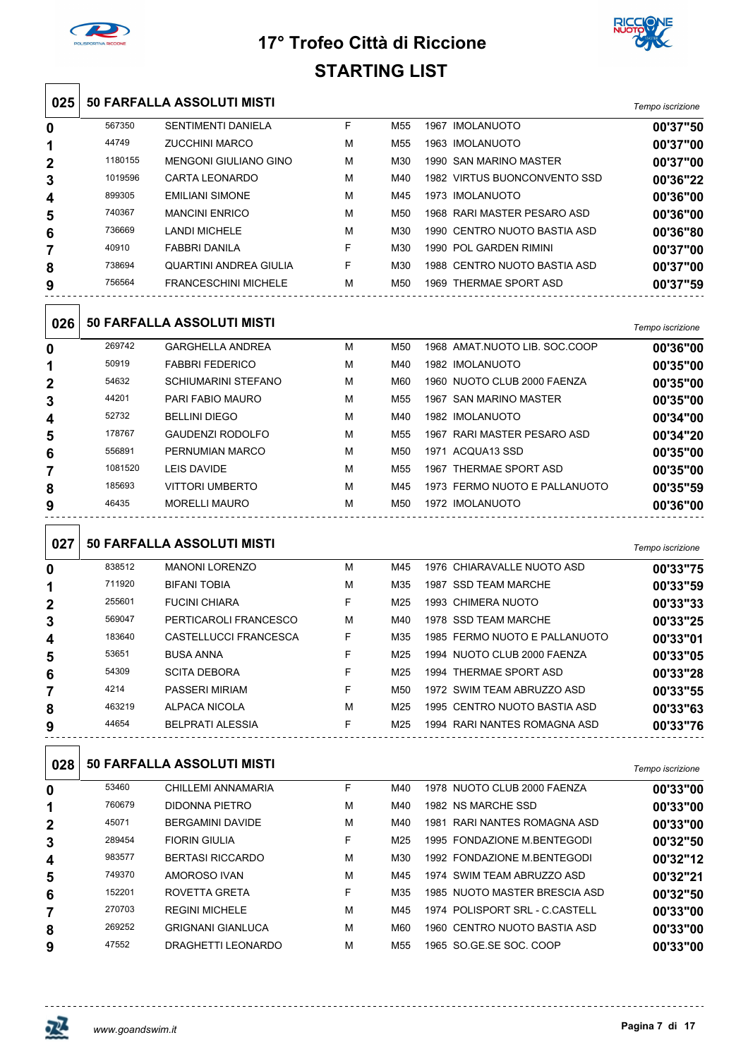



| 025          |         | <b>50 FARFALLA ASSOLUTI MISTI</b> |    |                 |                                | Tempo iscrizione |
|--------------|---------|-----------------------------------|----|-----------------|--------------------------------|------------------|
|              | 567350  | <b>SENTIMENTI DANIELA</b>         | F  | M55             | 1967 IMOLANUOTO                | 00'37"50         |
| 0<br>1       | 44749   | <b>ZUCCHINI MARCO</b>             | M  | M55             | 1963 IMOLANUOTO                | 00'37"00         |
| 2            | 1180155 | <b>MENGONI GIULIANO GINO</b>      | М  | M30             | 1990 SAN MARINO MASTER         | 00'37"00         |
| 3            | 1019596 | <b>CARTA LEONARDO</b>             | м  | M40             | 1982 VIRTUS BUONCONVENTO SSD   | 00'36"22         |
| 4            | 899305  | <b>EMILIANI SIMONE</b>            | м  | M45             | 1973 IMOLANUOTO                | 00'36"00         |
| 5            | 740367  | <b>MANCINI ENRICO</b>             | М  | M50             | 1968 RARI MASTER PESARO ASD    | 00'36"00         |
| 6            | 736669  | <b>LANDI MICHELE</b>              | М  | M30             | 1990 CENTRO NUOTO BASTIA ASD   | 00'36"80         |
| 7            | 40910   | <b>FABBRI DANILA</b>              | F  | M30             | 1990 POL GARDEN RIMINI         | 00'37"00         |
| 8            | 738694  | <b>QUARTINI ANDREA GIULIA</b>     | F  | M30             | 1988 CENTRO NUOTO BASTIA ASD   | 00'37"00         |
| 9            | 756564  | <b>FRANCESCHINI MICHELE</b>       | М  | M50             | 1969 THERMAE SPORT ASD         | 00'37"59         |
|              |         |                                   |    |                 |                                |                  |
| 026          |         | <b>50 FARFALLA ASSOLUTI MISTI</b> |    |                 |                                | Tempo iscrizione |
| 0            | 269742  | <b>GARGHELLA ANDREA</b>           | М  | M50             | 1968 AMAT.NUOTO LIB. SOC.COOP  | 00'36"00         |
| 1            | 50919   | <b>FABBRI FEDERICO</b>            | М  | M40             | 1982 IMOLANUOTO                | 00'35"00         |
| $\mathbf{2}$ | 54632   | <b>SCHIUMARINI STEFANO</b>        | М  | M60             | 1960 NUOTO CLUB 2000 FAENZA    | 00'35"00         |
| 3            | 44201   | PARI FABIO MAURO                  | м  | M55             | 1967 SAN MARINO MASTER         | 00'35"00         |
| 4            | 52732   | <b>BELLINI DIEGO</b>              | м  | M40             | 1982 IMOLANUOTO                | 00'34"00         |
| 5            | 178767  | <b>GAUDENZI RODOLFO</b>           | М  | M55             | 1967 RARI MASTER PESARO ASD    | 00'34"20         |
| 6            | 556891  | PERNUMIAN MARCO                   | М  | M50             | 1971 ACQUA13 SSD               | 00'35"00         |
| 7            | 1081520 | <b>LEIS DAVIDE</b>                | м  | M <sub>55</sub> | 1967 THERMAE SPORT ASD         | 00'35"00         |
| 8            | 185693  | <b>VITTORI UMBERTO</b>            | М  | M45             | 1973 FERMO NUOTO E PALLANUOTO  | 00'35"59         |
| 9            | 46435   | <b>MORELLI MAURO</b>              | М  | M50             | 1972 IMOLANUOTO                | 00'36"00         |
| 027          |         | <b>50 FARFALLA ASSOLUTI MISTI</b> |    |                 |                                | Tempo iscrizione |
| 0            | 838512  | <b>MANONI LORENZO</b>             | М  | M45             | 1976 CHIARAVALLE NUOTO ASD     | 00'33"75         |
| 1            | 711920  | <b>BIFANI TOBIA</b>               | М  | M35             | 1987 SSD TEAM MARCHE           | 00'33"59         |
| 2            | 255601  | <b>FUCINI CHIARA</b>              | F  | M25             | 1993 CHIMERA NUOTO             | 00'33"33         |
| 3            | 569047  | PERTICAROLI FRANCESCO             | М  | M40             | 1978 SSD TEAM MARCHE           | 00'33"25         |
| 4            | 183640  | <b>CASTELLUCCI FRANCESCA</b>      | F  | M35             | 1985 FERMO NUOTO E PALLANUOTO  | 00'33"01         |
| 5            | 53651   | <b>BUSA ANNA</b>                  | F  | M25             | 1994 NUOTO CLUB 2000 FAENZA    | 00'33"05         |
| 6            | 54309   | <b>SCITA DEBORA</b>               | F  | M25             | 1994 THERMAE SPORT ASD         | 00'33"28         |
| 7            | 4214    | PASSERI MIRIAM                    | F  | M50             | 1972 SWIM TEAM ABRUZZO ASD     | 00'33"55         |
| 8            | 463219  | ALPACA NICOLA                     | M  | M25             | 1995 CENTRO NUOTO BASTIA ASD   | 00'33"63         |
| 9            | 44654   | <b>BELPRATI ALESSIA</b>           | F  | M25             | 1994 RARI NANTES ROMAGNA ASD   | 00'33"76         |
| 028          |         | 50 FARFALLA ASSOLUTI MISTI        |    |                 |                                | Tempo iscrizione |
| 0            | 53460   | CHILLEMI ANNAMARIA                | F  | M40             | 1978 NUOTO CLUB 2000 FAENZA    | 00'33"00         |
| 1            | 760679  | <b>DIDONNA PIETRO</b>             | М  | M40             | 1982 NS MARCHE SSD             | 00'33"00         |
| $\mathbf{2}$ | 45071   | <b>BERGAMINI DAVIDE</b>           | М  | M40             | 1981 RARI NANTES ROMAGNA ASD   | 00'33"00         |
| 3            | 289454  | <b>FIORIN GIULIA</b>              | F. | M25             | 1995 FONDAZIONE M.BENTEGODI    | 00'32"50         |
| 4            | 983577  | <b>BERTASI RICCARDO</b>           | М  | M30             | 1992 FONDAZIONE M.BENTEGODI    | 00'32"12         |
| 5            | 749370  | AMOROSO IVAN                      | М  | M45             | 1974 SWIM TEAM ABRUZZO ASD     | 00'32"21         |
| 6            | 152201  | ROVETTA GRETA                     | F. | M35             | 1985 NUOTO MASTER BRESCIA ASD  | 00'32"50         |
| 7            | 270703  | <b>REGINI MICHELE</b>             | М  | M45             | 1974 POLISPORT SRL - C.CASTELL | 00'33"00         |
| 8            | 269252  | <b>GRIGNANI GIANLUCA</b>          | М  | M60             | 1960 CENTRO NUOTO BASTIA ASD   | 00'33"00         |
| 9            | 47552   | DRAGHETTI LEONARDO                | М  | M55             | 1965 SO.GE.SE SOC. COOP        | 00'33"00         |



 $\sim$   $\sim$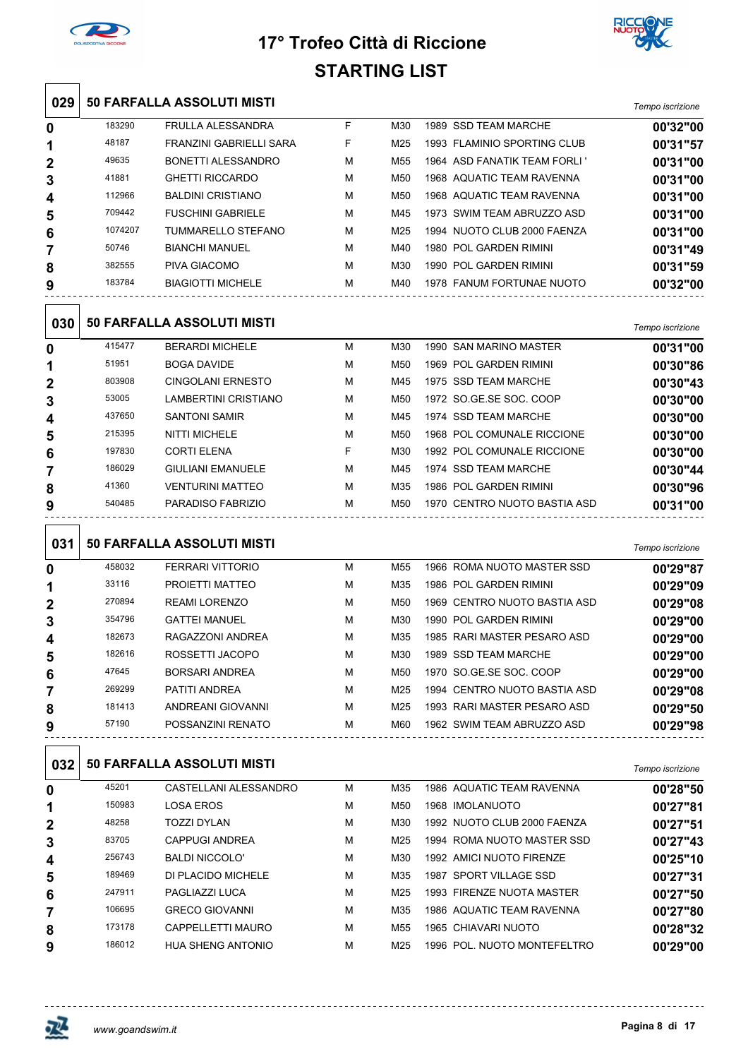



| 029          |         | <b>50 FARFALLA ASSOLUTI MISTI</b> |   |     |                              | Tempo iscrizione |
|--------------|---------|-----------------------------------|---|-----|------------------------------|------------------|
| 0            | 183290  | FRULLA ALESSANDRA                 | F | M30 | 1989 SSD TEAM MARCHE         | 00'32"00         |
| 1            | 48187   | FRANZINI GABRIELLI SARA           | F | M25 | 1993 FLAMINIO SPORTING CLUB  | 00'31"57         |
| 2            | 49635   | BONETTI ALESSANDRO                | М | M55 | 1964 ASD FANATIK TEAM FORLI' | 00'31"00         |
| 3            | 41881   | <b>GHETTI RICCARDO</b>            | м | M50 | 1968 AQUATIC TEAM RAVENNA    | 00'31"00         |
| 4            | 112966  | <b>BALDINI CRISTIANO</b>          | М | M50 | 1968 AQUATIC TEAM RAVENNA    | 00'31"00         |
| 5            | 709442  | <b>FUSCHINI GABRIELE</b>          | М | M45 | 1973 SWIM TEAM ABRUZZO ASD   | 00'31"00         |
| 6            | 1074207 | <b>TUMMARELLO STEFANO</b>         | М | M25 | 1994 NUOTO CLUB 2000 FAENZA  | 00'31"00         |
| 7            | 50746   | <b>BIANCHI MANUEL</b>             | М | M40 | 1980 POL GARDEN RIMINI       | 00'31"49         |
| 8            | 382555  | PIVA GIACOMO                      | м | M30 | 1990 POL GARDEN RIMINI       | 00'31"59         |
| 9            | 183784  | <b>BIAGIOTTI MICHELE</b>          | М | M40 | 1978 FANUM FORTUNAE NUOTO    | 00'32"00         |
| 030          |         | <b>50 FARFALLA ASSOLUTI MISTI</b> |   |     |                              | Tempo iscrizione |
| 0            | 415477  | <b>BERARDI MICHELE</b>            | М | M30 | 1990 SAN MARINO MASTER       | 00'31"00         |
| 1            | 51951   | <b>BOGA DAVIDE</b>                | М | M50 | 1969 POL GARDEN RIMINI       | 00'30"86         |
| $\mathbf{2}$ | 803908  | <b>CINGOLANI ERNESTO</b>          | М | M45 | 1975 SSD TEAM MARCHE         | 00'30"43         |
| 3            | 53005   | LAMBERTINI CRISTIANO              | М | M50 | 1972 SO.GE.SE SOC. COOP      | 00'30"00         |
| 4            | 437650  | <b>SANTONI SAMIR</b>              | М | M45 | 1974 SSD TEAM MARCHE         | 00'30"00         |
| 5            | 215395  | NITTI MICHELE                     | М | M50 | 1968 POL COMUNALE RICCIONE   | 00'30"00         |
| 6            | 197830  | CORTI ELENA                       | F | M30 | 1992 POL COMUNALE RICCIONE   | 00'30"00         |
| 7            | 186029  | <b>GIULIANI EMANUELE</b>          | М | M45 | 1974 SSD TEAM MARCHE         | 00'30"44         |
| 8            | 41360   | <b>VENTURINI MATTEO</b>           | М | M35 | 1986 POL GARDEN RIMINI       | 00'30"96         |
| 9            | 540485  | PARADISO FABRIZIO                 | М | M50 | 1970 CENTRO NUOTO BASTIA ASD | 00'31"00         |
| 031          |         | 50 FARFALLA ASSOLUTI MISTI        |   |     |                              | Tempo iscrizione |
| 0            | 458032  | <b>FERRARI VITTORIO</b>           | М | M55 | 1966 ROMA NUOTO MASTER SSD   | 00'29"87         |
| 1            | 33116   | PROIETTI MATTEO                   | М | M35 | 1986 POL GARDEN RIMINI       | 00'29"09         |
| 2            | 270894  | <b>REAMI LORENZO</b>              | М | M50 | 1969 CENTRO NUOTO BASTIA ASD | 00'29"08         |
| 3            | 354796  | <b>GATTEI MANUEL</b>              | м | M30 | 1990 POL GARDEN RIMINI       | 00'29"00         |
| 4            | 182673  | RAGAZZONI ANDREA                  | м | M35 | 1985 RARI MASTER PESARO ASD  | 00'29"00         |
| 5            | 182616  | ROSSETTI JACOPO                   | М | M30 | 1989 SSD TEAM MARCHE         | 00'29"00         |
| 6            | 47645   | BORSARI ANDREA                    | М | M50 | 1970 SO.GE.SE SOC. COOP      | 00'29"00         |
| 7            | 269299  | PATITI ANDREA                     | М | M25 | 1994 CENTRO NUOTO BASTIA ASD | 00'29"08         |
| 8            | 181413  | ANDREANI GIOVANNI                 | м | M25 | 1993 RARI MASTER PESARO ASD  | 00'29"50         |
| 9            | 57190   | POSSANZINI RENATO                 | м | M60 | 1962 SWIM TEAM ABRUZZO ASD   | 00'29"98         |
| 032          |         | <b>50 FARFALLA ASSOLUTI MISTI</b> |   |     |                              | Tempo iscrizione |
| 0            | 45201   | CASTELLANI ALESSANDRO             | М | M35 | 1986 AQUATIC TEAM RAVENNA    | 00'28"50         |
| 1            | 150983  | LOSA EROS                         | М | M50 | 1968 IMOLANUOTO              | 00'27"81         |
| 2            | 48258   | TOZZI DYLAN                       | М | M30 | 1992 NUOTO CLUB 2000 FAENZA  | 00'27"51         |
| 3            | 83705   | <b>CAPPUGI ANDREA</b>             | М | M25 | 1994 ROMA NUOTO MASTER SSD   | 00'27"43         |
| 4            | 256743  | <b>BALDI NICCOLO'</b>             | М | M30 | 1992 AMICI NUOTO FIRENZE     | 00'25"10         |
| 5            | 189469  | DI PLACIDO MICHELE                | М | M35 | 1987 SPORT VILLAGE SSD       | 00'27"31         |
| 6            | 247911  | PAGLIAZZI LUCA                    | М | M25 | 1993 FIRENZE NUOTA MASTER    | 00'27"50         |
| 7            | 106695  | <b>GRECO GIOVANNI</b>             | М | M35 | 1986 AQUATIC TEAM RAVENNA    | 00'27"80         |
| 8            | 173178  | CAPPELLETTI MAURO                 | М | M55 | 1965 CHIAVARI NUOTO          | 00'28"32         |
| 9            | 186012  | HUA SHENG ANTONIO                 | М | M25 | 1996 POL. NUOTO MONTEFELTRO  | 00'29"00         |

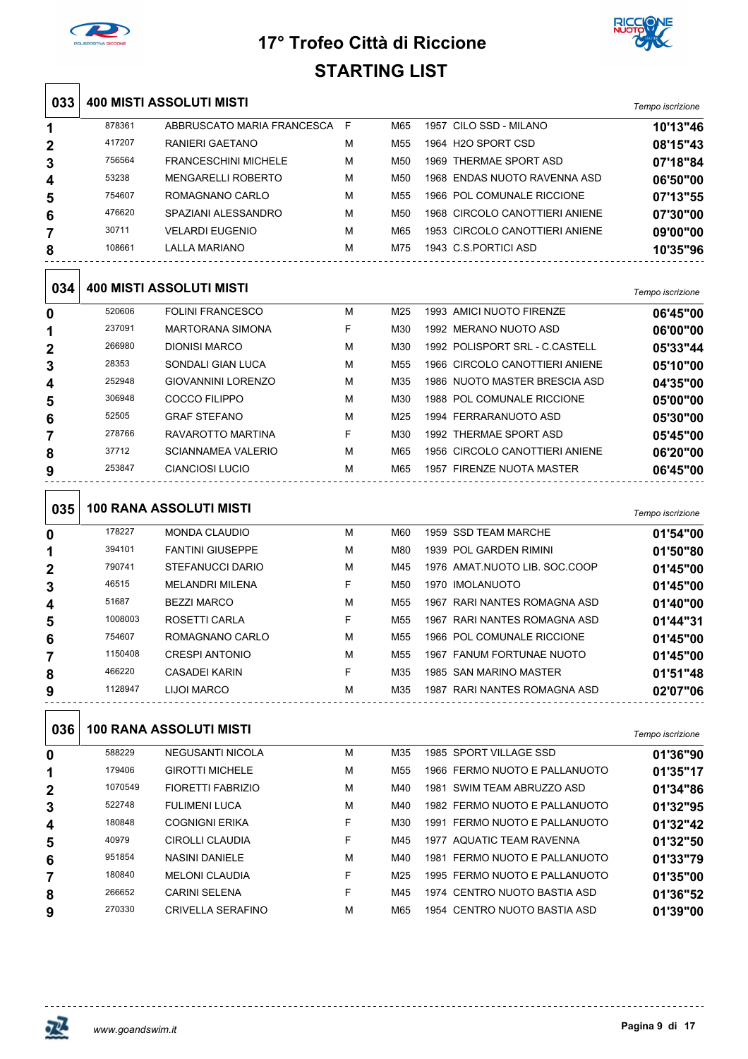



| 033 |         | <b>400 MISTI ASSOLUTI MISTI</b> |   |                 |                                | Tempo iscrizione |
|-----|---------|---------------------------------|---|-----------------|--------------------------------|------------------|
| 1   | 878361  | ABBRUSCATO MARIA FRANCESCA      | F | M65             | 1957 CILO SSD - MILANO         | 10'13"46         |
| 2   | 417207  | RANIERI GAETANO                 | M | M55             | 1964 H2O SPORT CSD             | 08'15"43         |
| 3   | 756564  | <b>FRANCESCHINI MICHELE</b>     | M | M50             | 1969 THERMAE SPORT ASD         | 07'18"84         |
| 4   | 53238   | <b>MENGARELLI ROBERTO</b>       | M | M <sub>50</sub> | 1968 ENDAS NUOTO RAVENNA ASD   | 06'50"00         |
| 5   | 754607  | ROMAGNANO CARLO                 | М | M55             | 1966 POL COMUNALE RICCIONE     | 07'13"55         |
| 6   | 476620  | SPAZIANI ALESSANDRO             | M | M50             | 1968 CIRCOLO CANOTTIERI ANIENE | 07'30"00         |
| 7   | 30711   | <b>VELARDI EUGENIO</b>          | м | M65             | 1953 CIRCOLO CANOTTIERI ANIENE | 09'00"00         |
| 8   | 108661  | <b>LALLA MARIANO</b>            | М | M75             | 1943 C.S. PORTICI ASD          | 10'35"96         |
|     |         |                                 |   |                 |                                |                  |
| 034 |         | <b>400 MISTI ASSOLUTI MISTI</b> |   |                 |                                | Tempo iscrizione |
| 0   | 520606  | <b>FOLINI FRANCESCO</b>         | м | M25             | 1993 AMICI NUOTO FIRENZE       | 06'45"00         |
| 1   | 237091  | <b>MARTORANA SIMONA</b>         | F | M30             | 1992 MERANO NUOTO ASD          | 06'00"00         |
| 2   | 266980  | <b>DIONISI MARCO</b>            | M | M30             | 1992 POLISPORT SRL - C.CASTELL | 05'33"44         |
| 3   | 28353   | SONDALI GIAN LUCA               | M | M55             | 1966 CIRCOLO CANOTTIERI ANIENE | 05'10"00         |
| 4   | 252948  | GIOVANNINI LORENZO              | M | M35             | 1986 NUOTO MASTER BRESCIA ASD  | 04'35"00         |
| 5   | 306948  | COCCO FILIPPO                   | M | M30             | 1988 POL COMUNALE RICCIONE     | 05'00"00         |
| 6   | 52505   | <b>GRAF STEFANO</b>             | M | M25             | 1994 FERRARANUOTO ASD          | 05'30"00         |
| 7   | 278766  | RAVAROTTO MARTINA               | F | M30             | 1992 THERMAE SPORT ASD         | 05'45"00         |
| 8   | 37712   | <b>SCIANNAMEA VALERIO</b>       | м | M65             | 1956 CIRCOLO CANOTTIERI ANIENE | 06'20"00         |
| 9   | 253847  | <b>CIANCIOSI LUCIO</b>          | M | M65             | 1957 FIRENZE NUOTA MASTER      | 06'45"00         |
| 035 |         | <b>100 RANA ASSOLUTI MISTI</b>  |   |                 |                                | Tempo iscrizione |
| 0   | 178227  | <b>MONDA CLAUDIO</b>            | М | M60             | 1959 SSD TEAM MARCHE           | 01'54"00         |
| 1   | 394101  | <b>FANTINI GIUSEPPE</b>         | M | M80             | 1939 POL GARDEN RIMINI         | 01'50"80         |
| 2   | 790741  | <b>STEFANUCCI DARIO</b>         | M | M45             | 1976 AMAT.NUOTO LIB. SOC.COOP  | 01'45"00         |
| 3   | 46515   | <b>MELANDRI MILENA</b>          | F | M50             | 1970 IMOLANUOTO                | 01'45"00         |
| 4   | 51687   | <b>BEZZI MARCO</b>              | M | M55             | 1967 RARI NANTES ROMAGNA ASD   | 01'40"00         |
| 5   | 1008003 | ROSETTI CARLA                   | F | M55             | 1967 RARI NANTES ROMAGNA ASD   | 01'44"31         |
| 6   | 754607  | ROMAGNANO CARLO                 | M | M55             | 1966 POL COMUNALE RICCIONE     | 01'45"00         |
| 7   | 1150408 | <b>CRESPI ANTONIO</b>           | М | M55             | 1967 FANUM FORTUNAE NUOTO      | 01'45"00         |
| 8   | 466220  | <b>CASADEI KARIN</b>            | F | M35             | 1985 SAN MARINO MASTER         | 01'51"48         |
| 9   | 1128947 | LIJOI MARCO                     | M | M35             | 1987 RARI NANTES ROMAGNA ASD   | 02'07"06         |
| 036 |         | <b>100 RANA ASSOLUTI MISTI</b>  |   |                 |                                | Tempo iscrizione |
| 0   | 588229  | <b>NEGUSANTI NICOLA</b>         | м | M35             | 1985 SPORT VILLAGE SSD         | 01'36"90         |
| 1   | 179406  | <b>GIROTTI MICHELE</b>          | M | M55             | 1966 FERMO NUOTO E PALLANUOTO  | 01'35"17         |
| 2   | 1070549 | <b>FIORETTI FABRIZIO</b>        | м | M40             | 1981 SWIM TEAM ABRUZZO ASD     | 01'34"86         |
| 3   | 522748  | <b>FULIMENI LUCA</b>            | М | M40             | 1982 FERMO NUOTO E PALLANUOTO  | 01'32"95         |
| 4   | 180848  | <b>COGNIGNI ERIKA</b>           | F | M30             | 1991 FERMO NUOTO E PALLANUOTO  | 01'32"42         |
| 5   | 40979   | <b>CIROLLI CLAUDIA</b>          | F | M45             | 1977 AQUATIC TEAM RAVENNA      | 01'32"50         |
| 6   | 951854  | <b>NASINI DANIELE</b>           | M | M40             | 1981 FERMO NUOTO E PALLANUOTO  | 01'33"79         |
| 7   | 180840  | <b>MELONI CLAUDIA</b>           | F | M25             | 1995 FERMO NUOTO E PALLANUOTO  | 01'35"00         |
|     |         |                                 |   |                 |                                |                  |
| 8   | 266652  | <b>CARINI SELENA</b>            | F | M45             | 1974 CENTRO NUOTO BASTIA ASD   | 01'36"52         |

巫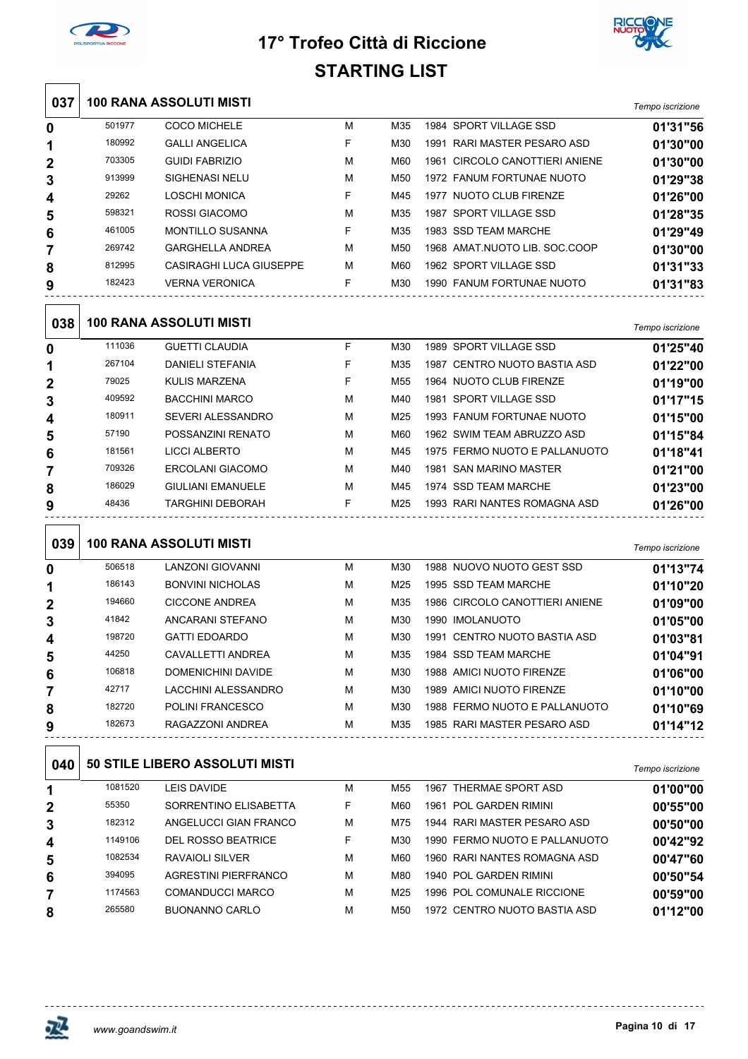



| 037    |         | <b>100 RANA ASSOLUTI MISTI</b>                   |        |                 |                                                      | Tempo iscrizione     |
|--------|---------|--------------------------------------------------|--------|-----------------|------------------------------------------------------|----------------------|
| 0      | 501977  | <b>COCO MICHELE</b>                              | М      | M35             | 1984 SPORT VILLAGE SSD                               | 01'31"56             |
| 1      | 180992  | <b>GALLI ANGELICA</b>                            | F      | M30             | 1991 RARI MASTER PESARO ASD                          | 01'30"00             |
| 2      | 703305  | <b>GUIDI FABRIZIO</b>                            | м      | M60             | 1961 CIRCOLO CANOTTIERI ANIENE                       | 01'30"00             |
| 3      | 913999  | SIGHENASI NELU                                   | м      | M <sub>50</sub> | 1972 FANUM FORTUNAE NUOTO                            | 01'29"38             |
| 4      | 29262   | <b>LOSCHI MONICA</b>                             | F      | M45             | 1977 NUOTO CLUB FIRENZE                              | 01'26"00             |
| 5      | 598321  | <b>ROSSI GIACOMO</b>                             | M      | M35             | 1987 SPORT VILLAGE SSD                               | 01'28"35             |
| 6      | 461005  | <b>MONTILLO SUSANNA</b>                          | F      | M35             | 1983 SSD TEAM MARCHE                                 | 01'29"49             |
| 7      | 269742  | <b>GARGHELLA ANDREA</b>                          | м      | M50             | 1968 AMAT NUOTO LIB. SOC COOP                        | 01'30"00             |
| 8      | 812995  | <b>CASIRAGHI LUCA GIUSEPPE</b>                   | м      | M60             | 1962 SPORT VILLAGE SSD                               | 01'31"33             |
| 9      | 182423  | <b>VERNA VERONICA</b>                            | F      | M30             | 1990 FANUM FORTUNAE NUOTO                            | 01'31"83             |
| 038    |         | <b>100 RANA ASSOLUTI MISTI</b>                   |        |                 |                                                      | Tempo iscrizione     |
| 0      | 111036  | <b>GUETTI CLAUDIA</b>                            | F      | M30             | 1989 SPORT VILLAGE SSD                               | 01'25"40             |
| 1      | 267104  | <b>DANIELI STEFANIA</b>                          | F      | M35             | 1987 CENTRO NUOTO BASTIA ASD                         | 01'22"00             |
| 2      | 79025   | <b>KULIS MARZENA</b>                             | F      | M <sub>55</sub> | 1964 NUOTO CLUB FIRENZE                              | 01'19"00             |
| 3      | 409592  | <b>BACCHINI MARCO</b>                            | м      | M40             | 1981 SPORT VILLAGE SSD                               | 01'17"15             |
| 4      | 180911  | SEVERI ALESSANDRO                                | М      | M25             | 1993 FANUM FORTUNAE NUOTO                            | 01'15"00             |
| 5      | 57190   | POSSANZINI RENATO                                | М      | M60             | 1962 SWIM TEAM ABRUZZO ASD                           | 01'15"84             |
| 6      | 181561  | <b>LICCI ALBERTO</b>                             | м      | M45             | 1975 FERMO NUOTO E PALLANUOTO                        | 01'18"41             |
| 7      | 709326  | <b>ERCOLANI GIACOMO</b>                          | м      | M40             | 1981 SAN MARINO MASTER                               | 01'21"00             |
| 8      | 186029  | <b>GIULIANI EMANUELE</b>                         | м      | M45             | 1974 SSD TEAM MARCHE                                 | 01'23"00             |
| 9      | 48436   | <b>TARGHINI DEBORAH</b>                          | F      | M25             | 1993 RARI NANTES ROMAGNA ASD                         | 01'26"00             |
| 039    |         | <b>100 RANA ASSOLUTI MISTI</b>                   |        |                 |                                                      | Tempo iscrizione     |
| 0      | 506518  | LANZONI GIOVANNI                                 | м      | M30             | 1988 NUOVO NUOTO GEST SSD                            | 01'13"74             |
| 1      | 186143  | <b>BONVINI NICHOLAS</b>                          | м      | M25             | 1995 SSD TEAM MARCHE                                 | 01'10"20             |
|        |         |                                                  |        |                 |                                                      |                      |
|        | 194660  |                                                  |        |                 |                                                      |                      |
| 2      | 41842   | <b>CICCONE ANDREA</b>                            | м<br>м | M35             | 1986 CIRCOLO CANOTTIERI ANIENE                       | 01'09"00             |
| 3      | 198720  | ANCARANI STEFANO                                 |        | M30             | 1990 IMOLANUOTO                                      | 01'05"00             |
| 4      | 44250   | <b>GATTI EDOARDO</b><br><b>CAVALLETTI ANDREA</b> | М<br>М | M30<br>M35      | 1991 CENTRO NUOTO BASTIA ASD<br>1984 SSD TEAM MARCHE | 01'03"81             |
| 5      | 106818  | DOMENICHINI DAVIDE                               | м      | M30             | 1988 AMICI NUOTO FIRENZE                             | 01'04"91             |
| 6      | 42717   | LACCHINI ALESSANDRO                              | М      | M30             | 1989 AMICI NUOTO FIRENZE                             | 01'06"00             |
| 7      | 182720  | POLINI FRANCESCO                                 | М      | M30             | 1988 FERMO NUOTO E PALLANUOTO                        | 01'10"00             |
| 8<br>9 | 182673  | RAGAZZONI ANDREA                                 | м      | M35             | 1985 RARI MASTER PESARO ASD                          | 01'10"69<br>01'14"12 |
| 040    |         | 50 STILE LIBERO ASSOLUTI MISTI                   |        |                 |                                                      | Tempo iscrizione     |
| 1      | 1081520 | LEIS DAVIDE                                      | м      | M55             | 1967 THERMAE SPORT ASD                               | 01'00"00             |
| 2      | 55350   | SORRENTINO ELISABETTA                            | F      | M60             | 1961 POL GARDEN RIMINI                               | 00'55"00             |
| 3      | 182312  | ANGELUCCI GIAN FRANCO                            | М      | M75             | 1944 RARI MASTER PESARO ASD                          | 00'50"00             |
| 4      | 1149106 | <b>DEL ROSSO BEATRICE</b>                        | F.     | M30             | 1990 FERMO NUOTO E PALLANUOTO                        | 00'42"92             |
| 5      | 1082534 | <b>RAVAIOLI SILVER</b>                           | М      | M60             | 1960 RARI NANTES ROMAGNA ASD                         | 00'47"60             |
| 6      | 394095  | AGRESTINI PIERFRANCO                             | М      | M80             | 1940 POL GARDEN RIMINI                               | 00'50"54             |
| 7      | 1174563 | <b>COMANDUCCI MARCO</b>                          | м      | M25             | 1996 POL COMUNALE RICCIONE                           | 00'59"00             |

丞

 $\overline{a}$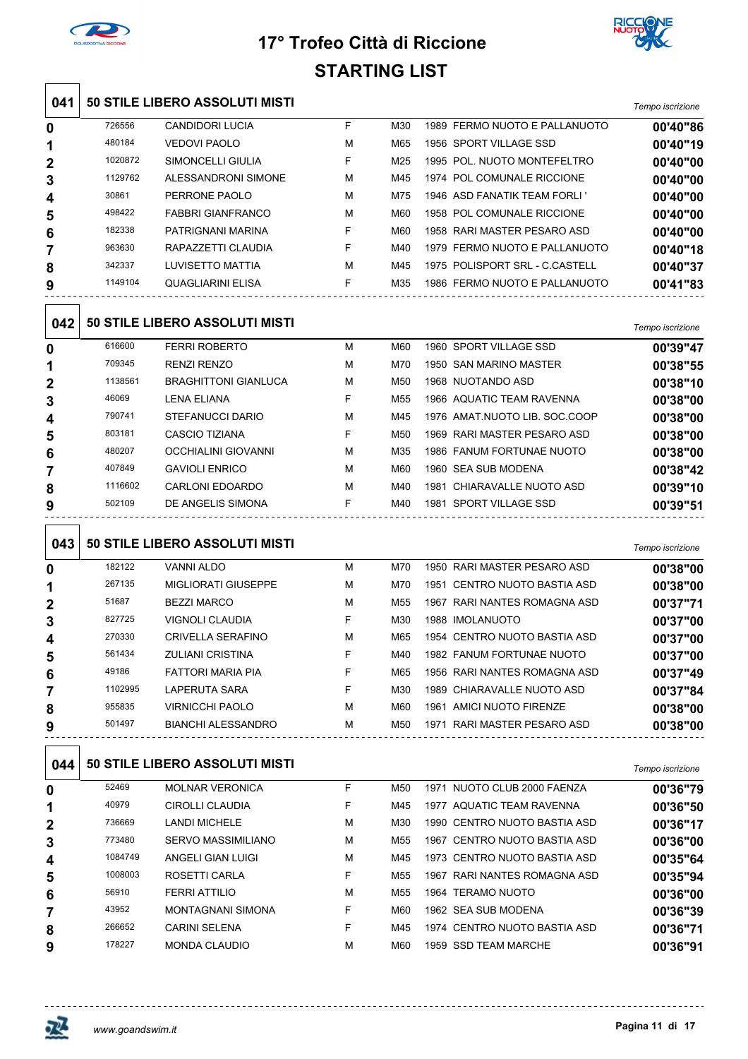



|                |         |                                       | ו טום טוווורותו |                 |                                |                  |
|----------------|---------|---------------------------------------|-----------------|-----------------|--------------------------------|------------------|
| 041            |         | 50 STILE LIBERO ASSOLUTI MISTI        |                 |                 |                                | Tempo iscrizione |
| 0              | 726556  | <b>CANDIDORI LUCIA</b>                | F               | M30             | 1989 FERMO NUOTO E PALLANUOTO  | 00'40"86         |
| 1              | 480184  | <b>VEDOVI PAOLO</b>                   | М               | M65             | 1956 SPORT VILLAGE SSD         | 00'40"19         |
| $\overline{2}$ | 1020872 | SIMONCELLI GIULIA                     | F               | M25             | 1995 POL. NUOTO MONTEFELTRO    | 00'40"00         |
| 3              | 1129762 | ALESSANDRONI SIMONE                   | М               | M45             | 1974 POL COMUNALE RICCIONE     | 00'40"00         |
| 4              | 30861   | PERRONE PAOLO                         | м               | M75             | 1946 ASD FANATIK TEAM FORLI'   | 00'40"00         |
| 5              | 498422  | <b>FABBRI GIANFRANCO</b>              | М               | M60             | 1958 POL COMUNALE RICCIONE     | 00'40"00         |
| 6              | 182338  | PATRIGNANI MARINA                     | F               | M60             | 1958 RARI MASTER PESARO ASD    | 00'40"00         |
| 7              | 963630  | RAPAZZETTI CLAUDIA                    | F               | M40             | 1979 FERMO NUOTO E PALLANUOTO  | 00'40"18         |
| 8              | 342337  | LUVISETTO MATTIA                      | M               | M45             | 1975 POLISPORT SRL - C.CASTELL | 00'40"37         |
| 9              | 1149104 | <b>QUAGLIARINI ELISA</b>              | F               | M35             | 1986 FERMO NUOTO E PALLANUOTO  | 00'41"83         |
| 042            |         | 50 STILE LIBERO ASSOLUTI MISTI        |                 |                 |                                | Tempo iscrizione |
| 0              | 616600  | <b>FERRI ROBERTO</b>                  | M               | M60             | 1960 SPORT VILLAGE SSD         | 00'39"47         |
| 1              | 709345  | <b>RENZI RENZO</b>                    | M               | M70             | 1950 SAN MARINO MASTER         | 00'38"55         |
| $\mathbf{2}$   | 1138561 | <b>BRAGHITTONI GIANLUCA</b>           | м               | M50             | 1968 NUOTANDO ASD              | 00'38"10         |
| 3              | 46069   | <b>LENA ELIANA</b>                    | F               | M <sub>55</sub> | 1966 AQUATIC TEAM RAVENNA      | 00'38"00         |
| 4              | 790741  | <b>STEFANUCCI DARIO</b>               | M               | M45             | 1976 AMAT NUOTO LIB. SOC COOP  | 00'38"00         |
| 5              | 803181  | <b>CASCIO TIZIANA</b>                 | F               | M50             | 1969 RARI MASTER PESARO ASD    | 00'38"00         |
| 6              | 480207  | <b>OCCHIALINI GIOVANNI</b>            | м               | M35             | 1986 FANUM FORTUNAE NUOTO      | 00'38"00         |
| 7              | 407849  | <b>GAVIOLI ENRICO</b>                 | м               | M60             | 1960 SEA SUB MODENA            | 00'38"42         |
| 8              | 1116602 | <b>CARLONI EDOARDO</b>                | м               | M40             | 1981 CHIARAVALLE NUOTO ASD     | 00'39"10         |
| 9              | 502109  | DE ANGELIS SIMONA                     | F               | M40             | 1981 SPORT VILLAGE SSD         | 00'39"51         |
| 043            |         | <b>50 STILE LIBERO ASSOLUTI MISTI</b> |                 |                 |                                | Tempo iscrizione |
| 0              | 182122  | <b>VANNI ALDO</b>                     | M               | M70             | 1950 RARI MASTER PESARO ASD    | 00'38"00         |
| 1              | 267135  | <b>MIGLIORATI GIUSEPPE</b>            | м               | M70             | 1951 CENTRO NUOTO BASTIA ASD   | 00'38"00         |
| $\overline{2}$ | 51687   | <b>BEZZI MARCO</b>                    | М               | M <sub>55</sub> | 1967 RARI NANTES ROMAGNA ASD   | 00'37"71         |
| 3              | 827725  | <b>VIGNOLI CLAUDIA</b>                | F               | M30             | 1988 IMOLANUOTO                | 00'37"00         |
| 4              | 270330  | <b>CRIVELLA SERAFINO</b>              | M               | M65             | 1954 CENTRO NUOTO BASTIA ASD   | 00'37"00         |
| 5              | 561434  | <b>ZULIANI CRISTINA</b>               | F               | M40             | 1982 FANUM FORTUNAE NUOTO      | 00'37"00         |
| 6              | 49186   | <b>FATTORI MARIA PIA</b>              | F               | M65             | 1956 RARI NANTES ROMAGNA ASD   | 00'37"49         |
| 7              | 1102995 | <b>LAPERUTA SARA</b>                  | F               | M30             | 1989 CHIARAVALLE NUOTO ASD     | 00'37"84         |

**50 STILE LIBERO ASSOLUTI MISTI** *Tempo iscrizione*

| $-1$           |         |                          |   |     |                                 | I empo iscrizione |
|----------------|---------|--------------------------|---|-----|---------------------------------|-------------------|
| 0              | 52469   | <b>MOLNAR VERONICA</b>   | F | M50 | 1971 NUOTO CLUB 2000 FAENZA     | 00'36"79          |
| 1              | 40979   | CIROLLI CLAUDIA          | F | M45 | 1977 AQUATIC TEAM RAVENNA       | 00'36"50          |
| $\overline{2}$ | 736669  | <b>LANDI MICHELE</b>     | M | M30 | 1990 CENTRO NUOTO BASTIA ASD    | 00'36"17          |
| 3              | 773480  | SERVO MASSIMILIANO       | M | M55 | 1967 CENTRO NUOTO BASTIA ASD    | 00'36"00          |
| 4              | 1084749 | ANGELI GIAN LUIGI        | M | M45 | 1973 CENTRO NUOTO BASTIA ASD    | 00'35"64          |
| 5              | 1008003 | ROSETTI CARLA            | F | M55 | RARI NANTES ROMAGNA ASD<br>1967 | 00'35"94          |
| 6              | 56910   | <b>FERRI ATTILIO</b>     | M | M55 | 1964 TERAMO NUOTO               | 00'36"00          |
| 7              | 43952   | <b>MONTAGNANI SIMONA</b> | F | M60 | 1962 SEA SUB MODENA             | 00'36"39          |
| 8              | 266652  | <b>CARINI SELENA</b>     | F | M45 | 1974 CENTRO NUOTO BASTIA ASD    | 00'36"71          |
| 9              | 178227  | <b>MONDA CLAUDIO</b>     | M | M60 | <b>SSD TEAM MARCHE</b><br>1959  | 00'36"91          |
|                |         |                          |   |     |                                 |                   |

VIRNICCHI PAOLO M M60 1961 AMICI NUOTO FIRENZE **00'38"00**

BIANCHI ALESSANDRO M M50 1971 RARI MASTER PESARO ASD **00'38"00**

. . . . . . . . . . . . . . . .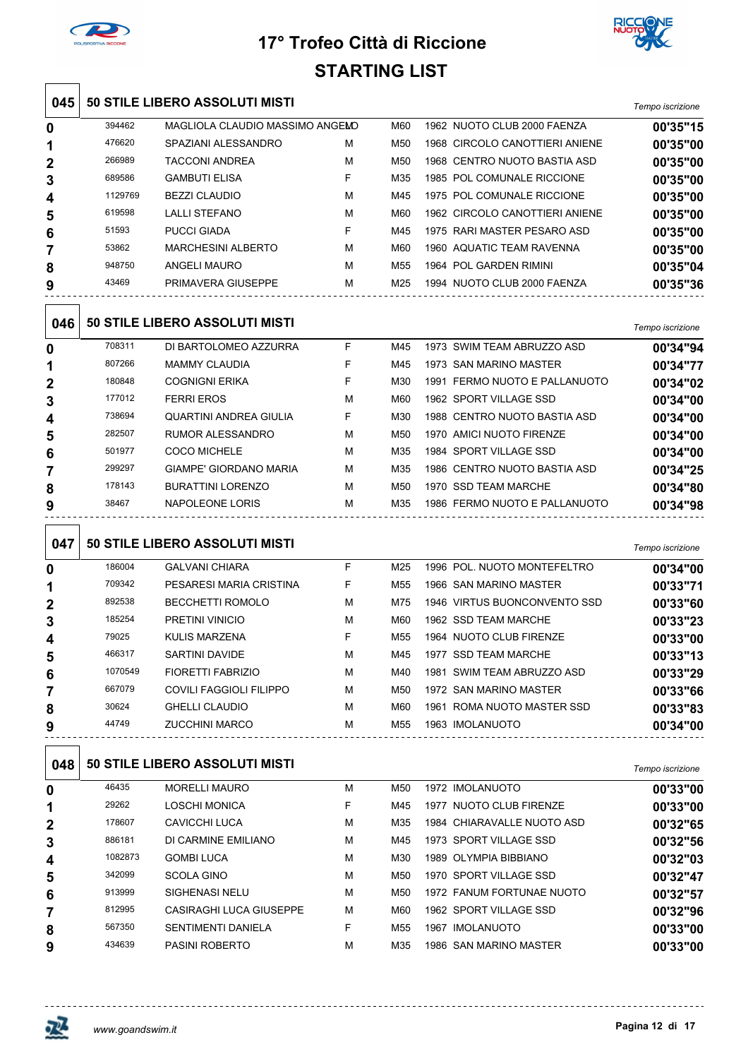



|                  |         |                                       | STARTING LIST |     |                                |                  |
|------------------|---------|---------------------------------------|---------------|-----|--------------------------------|------------------|
| 045              |         | 50 STILE LIBERO ASSOLUTI MISTI        |               |     |                                | Tempo iscrizione |
| 0                | 394462  | MAGLIOLA CLAUDIO MASSIMO ANGEMO       |               | M60 | 1962 NUOTO CLUB 2000 FAENZA    | 00'35"15         |
| 1                | 476620  | SPAZIANI ALESSANDRO                   | м             | M50 | 1968 CIRCOLO CANOTTIERI ANIENE | 00'35"00         |
| 2                | 266989  | <b>TACCONI ANDREA</b>                 | М             | M50 | 1968 CENTRO NUOTO BASTIA ASD   | 00'35"00         |
| 3                | 689586  | <b>GAMBUTI ELISA</b>                  | F             | M35 | 1985 POL COMUNALE RICCIONE     | 00'35"00         |
| 4                | 1129769 | <b>BEZZI CLAUDIO</b>                  | М             | M45 | 1975 POL COMUNALE RICCIONE     | 00'35"00         |
| 5                | 619598  | <b>LALLI STEFANO</b>                  | м             | M60 | 1962 CIRCOLO CANOTTIERI ANIENE | 00'35"00         |
| 6                | 51593   | <b>PUCCI GIADA</b>                    | F             | M45 | 1975 RARI MASTER PESARO ASD    | 00'35"00         |
| 7                | 53862   | <b>MARCHESINI ALBERTO</b>             | M             | M60 | 1960 AQUATIC TEAM RAVENNA      | 00'35"00         |
| 8                | 948750  | <b>ANGELI MAURO</b>                   | м             | M55 | 1964 POL GARDEN RIMINI         | 00'35"04         |
| 9                | 43469   | PRIMAVERA GIUSEPPE                    | м             | M25 | 1994 NUOTO CLUB 2000 FAENZA    | 00'35"36         |
| 046              |         | <b>50 STILE LIBERO ASSOLUTI MISTI</b> |               |     |                                | Tempo iscrizione |
| 0                | 708311  | DI BARTOLOMEO AZZURRA                 | F             | M45 | 1973 SWIM TEAM ABRUZZO ASD     | 00'34"94         |
| 1                | 807266  | <b>MAMMY CLAUDIA</b>                  | F             | M45 | 1973 SAN MARINO MASTER         | 00'34"77         |
| $\mathbf 2$      | 180848  | <b>COGNIGNI ERIKA</b>                 | F             | M30 | 1991 FERMO NUOTO E PALLANUOTO  | 00'34"02         |
| 3                | 177012  | <b>FERRI EROS</b>                     | м             | M60 | 1962 SPORT VILLAGE SSD         | 00'34"00         |
| 4                | 738694  | QUARTINI ANDREA GIULIA                | F             | M30 | 1988 CENTRO NUOTO BASTIA ASD   | 00'34"00         |
| 5                | 282507  | RUMOR ALESSANDRO                      | м             | M50 | 1970 AMICI NUOTO FIRENZE       | 00'34"00         |
| 6                | 501977  | <b>COCO MICHELE</b>                   | м             | M35 | 1984 SPORT VILLAGE SSD         | 00'34"00         |
| 7                | 299297  | <b>GIAMPE' GIORDANO MARIA</b>         | М             | M35 | 1986 CENTRO NUOTO BASTIA ASD   | 00'34"25         |
| 8                | 178143  | <b>BURATTINI LORENZO</b>              | м             | M50 | 1970 SSD TEAM MARCHE           | 00'34"80         |
| 9                | 38467   | NAPOLEONE LORIS                       | м             | M35 | 1986 FERMO NUOTO E PALLANUOTO  | 00'34"98         |
| 047              |         | 50 STILE LIBERO ASSOLUTI MISTI        |               |     |                                | Tempo iscrizione |
| 0                | 186004  | <b>GALVANI CHIARA</b>                 | F             | M25 | 1996 POL. NUOTO MONTEFELTRO    | 00'34"00         |
| 1                | 709342  | PESARESI MARIA CRISTINA               | F             | M55 | 1966 SAN MARINO MASTER         | 00'33"71         |
| 2                | 892538  | <b>BECCHETTI ROMOLO</b>               | м             | M75 | 1946 VIRTUS BUONCONVENTO SSD   | 00'33"60         |
| 3                | 185254  | PRETINI VINICIO                       | м             | M60 | 1962 SSD TEAM MARCHE           | 00'33"23         |
| 4                | 79025   | <b>KULIS MARZENA</b>                  | F             | M55 | 1964 NUOTO CLUB FIRENZE        | 00'33"00         |
| 5                | 466317  | SARTINI DAVIDE                        | м             | M45 | 1977 SSD TEAM MARCHE           | 00'33"13         |
| 6                | 1070549 | <b>FIORETTI FABRIZIO</b>              | М             | M40 | 1981 SWIM TEAM ABRUZZO ASD     | 00'33"29         |
| 7                | 667079  | <b>COVILI FAGGIOLI FILIPPO</b>        | м             | M50 | 1972 SAN MARINO MASTER         | 00'33"66         |
| 8                | 30624   | <b>GHELLI CLAUDIO</b>                 | м             | M60 | 1961 ROMA NUOTO MASTER SSD     | 00'33"83         |
| 9                | 44749   | <b>ZUCCHINI MARCO</b>                 | м             | M55 | 1963 IMOLANUOTO                | 00'34"00         |
| 048              |         | 50 STILE LIBERO ASSOLUTI MISTI        |               |     |                                | Tempo iscrizione |
| 0                | 46435   | <b>MORELLI MAURO</b>                  | м             | M50 | 1972 IMOLANUOTO                | 00'33"00         |
| 1                | 29262   | <b>LOSCHI MONICA</b>                  | F             | M45 | 1977 NUOTO CLUB FIRENZE        | 00'33"00         |
| $\boldsymbol{2}$ | 178607  | CAVICCHI LUCA                         | м             | M35 | 1984 CHIARAVALLE NUOTO ASD     | 00'32"65         |
| 3                | 886181  | DI CARMINE EMILIANO                   | м             | M45 | 1973 SPORT VILLAGE SSD         | 00'32"56         |
| 4                | 1082873 | <b>GOMBI LUCA</b>                     | м             | M30 | 1989 OLYMPIA BIBBIANO          | 00'32"03         |
| 5                | 342099  | <b>SCOLA GINO</b>                     | м             | M50 | 1970 SPORT VILLAGE SSD         | 00'32"47         |
| 6                | 913999  | SIGHENASI NELU                        | м             | M50 | 1972 FANUM FORTUNAE NUOTO      | 00'32"57         |
| 7                | 812995  | <b>CASIRAGHI LUCA GIUSEPPE</b>        | м             | M60 | 1962 SPORT VILLAGE SSD         | 00'32"96         |
| 8                | 567350  | <b>SENTIMENTI DANIELA</b>             | F.            | M55 | 1967 IMOLANUOTO                | 00'33"00         |
| 9                | 434639  | PASINI ROBERTO                        | М             | M35 | 1986 SAN MARINO MASTER         | 00'33"00         |

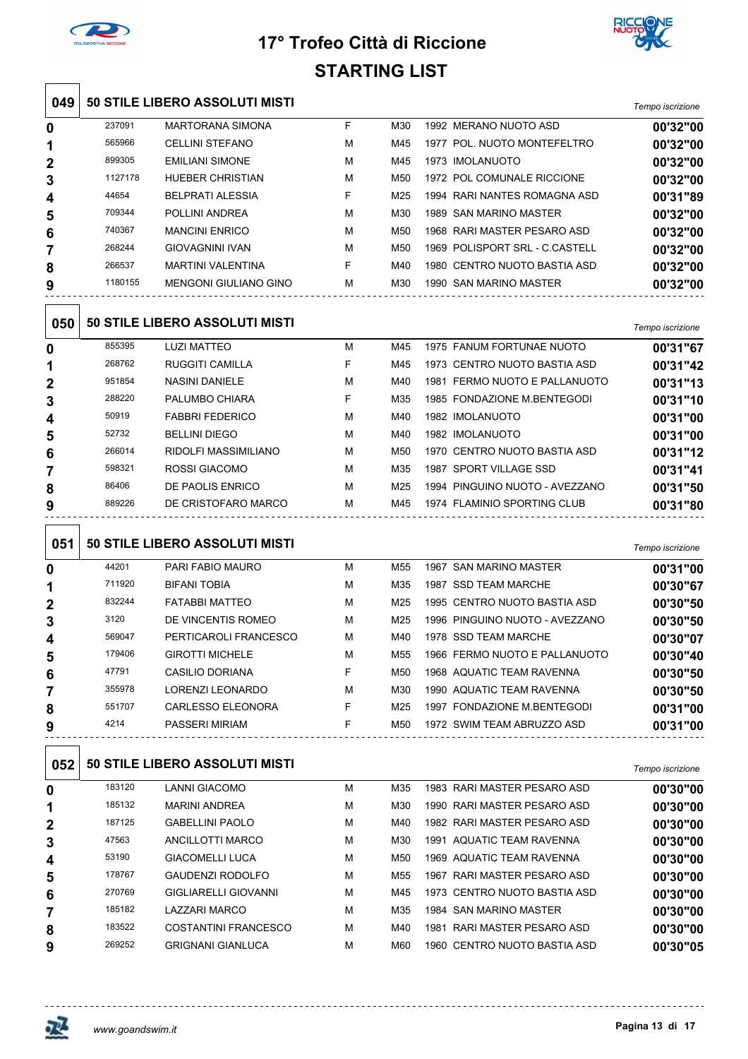



|                  |         |                                       | JIARIINY LIJI |     |                                |                  |
|------------------|---------|---------------------------------------|---------------|-----|--------------------------------|------------------|
| 049              |         | <b>50 STILE LIBERO ASSOLUTI MISTI</b> |               |     |                                | Tempo iscrizione |
| 0                | 237091  | <b>MARTORANA SIMONA</b>               | F             | M30 | 1992 MERANO NUOTO ASD          | 00'32"00         |
| 1                | 565966  | <b>CELLINI STEFANO</b>                | м             | M45 | 1977 POL. NUOTO MONTEFELTRO    | 00'32"00         |
| $\mathbf 2$      | 899305  | <b>EMILIANI SIMONE</b>                | м             | M45 | 1973 IMOLANUOTO                | 00'32"00         |
| 3                | 1127178 | <b>HUEBER CHRISTIAN</b>               | М             | M50 | 1972 POL COMUNALE RICCIONE     | 00'32"00         |
| 4                | 44654   | <b>BELPRATI ALESSIA</b>               | F             | M25 | 1994 RARI NANTES ROMAGNA ASD   | 00'31"89         |
| 5                | 709344  | POLLINI ANDREA                        | м             | M30 | 1989 SAN MARINO MASTER         | 00'32"00         |
| 6                | 740367  | <b>MANCINI ENRICO</b>                 | м             | M50 | 1968 RARI MASTER PESARO ASD    | 00'32"00         |
| 7                | 268244  | <b>GIOVAGNINI IVAN</b>                | м             | M50 | 1969 POLISPORT SRL - C.CASTELL | 00'32"00         |
| 8                | 266537  | <b>MARTINI VALENTINA</b>              | F             | M40 | 1980 CENTRO NUOTO BASTIA ASD   | 00'32"00         |
| 9                | 1180155 | <b>MENGONI GIULIANO GINO</b>          | м             | M30 | 1990 SAN MARINO MASTER         | 00'32"00         |
| 050              |         | <b>50 STILE LIBERO ASSOLUTI MISTI</b> |               |     |                                | Tempo iscrizione |
| 0                | 855395  | <b>LUZI MATTEO</b>                    | м             | M45 | 1975 FANUM FORTUNAE NUOTO      | 00'31"67         |
| 1                | 268762  | RUGGITI CAMILLA                       | F             | M45 | 1973 CENTRO NUOTO BASTIA ASD   | 00'31"42         |
| 2                | 951854  | <b>NASINI DANIELE</b>                 | М             | M40 | 1981 FERMO NUOTO E PALLANUOTO  | 00'31"13         |
| 3                | 288220  | PALUMBO CHIARA                        | F             | M35 | 1985 FONDAZIONE M.BENTEGODI    | 00'31"10         |
| 4                | 50919   | <b>FABBRI FEDERICO</b>                | м             | M40 | 1982 IMOLANUOTO                | 00'31"00         |
| 5                | 52732   | <b>BELLINI DIEGO</b>                  | м             | M40 | 1982 IMOLANUOTO                | 00'31"00         |
| 6                | 266014  | RIDOLFI MASSIMILIANO                  | м             | M50 | 1970 CENTRO NUOTO BASTIA ASD   | 00'31"12         |
| 7                | 598321  | <b>ROSSI GIACOMO</b>                  | м             | M35 | 1987 SPORT VILLAGE SSD         | 00'31"41         |
| 8                | 86406   | DE PAOLIS ENRICO                      | м             | M25 | 1994 PINGUINO NUOTO - AVEZZANO | 00'31"50         |
| 9                | 889226  | DE CRISTOFARO MARCO                   | м             | M45 | 1974 FLAMINIO SPORTING CLUB    | 00'31"80         |
| 051              |         | 50 STILE LIBERO ASSOLUTI MISTI        |               |     |                                | Tempo iscrizione |
| 0                | 44201   | PARI FABIO MAURO                      | м             | M55 | 1967 SAN MARINO MASTER         | 00'31"00         |
| 1                | 711920  | <b>BIFANI TOBIA</b>                   | м             | M35 | 1987 SSD TEAM MARCHE           | 00'30"67         |
| $\mathbf{2}$     | 832244  | <b>FATABBI MATTEO</b>                 | м             | M25 | 1995 CENTRO NUOTO BASTIA ASD   | 00'30"50         |
| 3                | 3120    | DE VINCENTIS ROMEO                    | м             | M25 | 1996 PINGUINO NUOTO - AVEZZANO | 00'30"50         |
| 4                | 569047  | PERTICAROLI FRANCESCO                 | M             | M40 | 1978 SSD TEAM MARCHE           | 00'30"07         |
| 5                | 179406  | <b>GIROTTI MICHELE</b>                | М             | M55 | 1966 FERMO NUOTO E PALLANUOTO  | 00'30"40         |
| 6                | 47791   | <b>CASILIO DORIANA</b>                | F             | M50 | 1968 AQUATIC TEAM RAVENNA      | 00'30"50         |
| 7                | 355978  | LORENZI LEONARDO                      | м             | M30 | 1990 AQUATIC TEAM RAVENNA      | 00'30"50         |
| 8                | 551707  | CARLESSO ELEONORA                     | F             | M25 | 1997 FONDAZIONE M.BENTEGODI    | 00'31"00         |
| 9                | 4214    | PASSERI MIRIAM                        | F.            | M50 | 1972 SWIM TEAM ABRUZZO ASD     | 00'31"00         |
| 052              |         | 50 STILE LIBERO ASSOLUTI MISTI        |               |     |                                | Tempo iscrizione |
| 0                | 183120  | LANNI GIACOMO                         | м             | M35 | 1983 RARI MASTER PESARO ASD    | 00'30"00         |
| 1                | 185132  | <b>MARINI ANDREA</b>                  | м             | M30 | 1990 RARI MASTER PESARO ASD    | 00'30"00         |
| $\boldsymbol{2}$ | 187125  | <b>GABELLINI PAOLO</b>                | м             | M40 | 1982 RARI MASTER PESARO ASD    | 00'30"00         |
| 3                | 47563   | ANCILLOTTI MARCO                      | м             | M30 | 1991 AQUATIC TEAM RAVENNA      | 00'30"00         |
| 4                | 53190   | <b>GIACOMELLI LUCA</b>                | м             | M50 | 1969 AQUATIC TEAM RAVENNA      | 00'30"00         |
| 5                | 178767  | <b>GAUDENZI RODOLFO</b>               | м             | M55 | 1967 RARI MASTER PESARO ASD    | 00'30"00         |
| 6                | 270769  | <b>GIGLIARELLI GIOVANNI</b>           | м             | M45 | 1973 CENTRO NUOTO BASTIA ASD   | 00'30"00         |
| 7                | 185182  | LAZZARI MARCO                         | м             | M35 | 1984 SAN MARINO MASTER         | 00'30"00         |
| 8                | 183522  | COSTANTINI FRANCESCO                  | м             | M40 | 1981 RARI MASTER PESARO ASD    | 00'30"00         |
| 9                | 269252  | <b>GRIGNANI GIANLUCA</b>              | м             | M60 | 1960 CENTRO NUOTO BASTIA ASD   | 00'30"05         |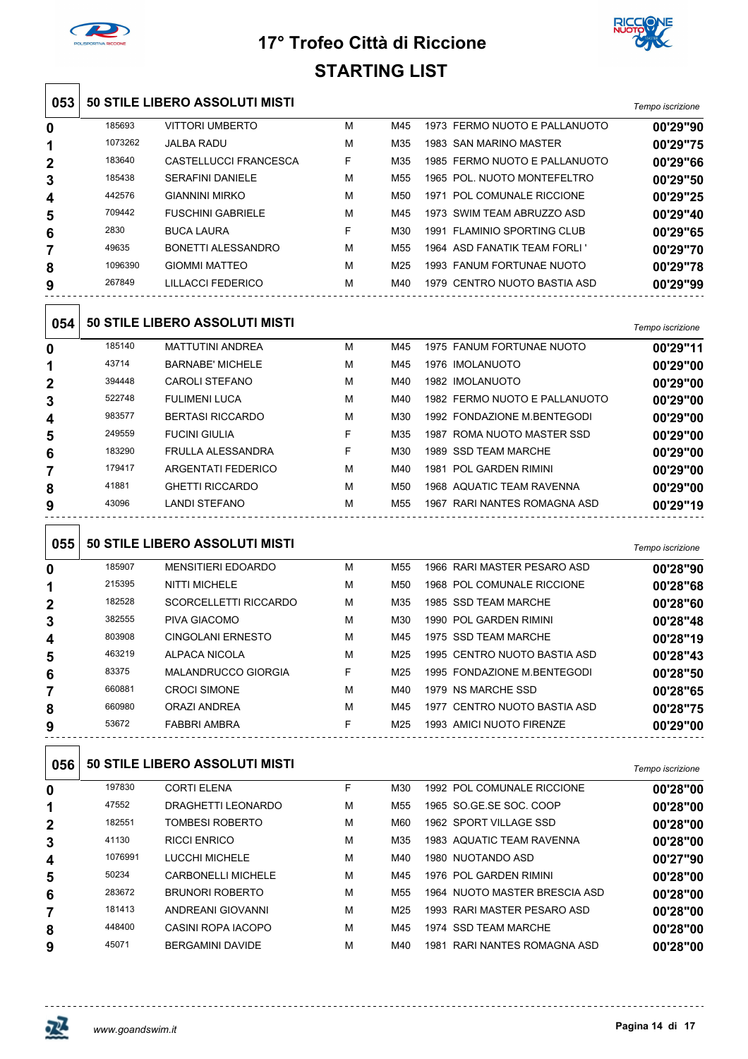



|                |         |                                       |   | ו טום טוווורו   |                               |                  |
|----------------|---------|---------------------------------------|---|-----------------|-------------------------------|------------------|
| 053            |         | 50 STILE LIBERO ASSOLUTI MISTI        |   |                 |                               | Tempo iscrizione |
| 0              | 185693  | <b>VITTORI UMBERTO</b>                | М | M45             | 1973 FERMO NUOTO E PALLANUOTO | 00'29"90         |
| 1              | 1073262 | <b>JALBA RADU</b>                     | М | M35             | 1983 SAN MARINO MASTER        | 00'29"75         |
| $\mathbf{2}$   | 183640  | CASTELLUCCI FRANCESCA                 | F | M35             | 1985 FERMO NUOTO E PALLANUOTO | 00'29"66         |
| 3              | 185438  | <b>SERAFINI DANIELE</b>               | М | M <sub>55</sub> | 1965 POL. NUOTO MONTEFELTRO   | 00'29"50         |
| 4              | 442576  | <b>GIANNINI MIRKO</b>                 | м | M50             | 1971 POL COMUNALE RICCIONE    | 00'29"25         |
| 5              | 709442  | <b>FUSCHINI GABRIELE</b>              | М | M45             | 1973 SWIM TEAM ABRUZZO ASD    | 00'29"40         |
| 6              | 2830    | <b>BUCA LAURA</b>                     | F | M30             | 1991 FLAMINIO SPORTING CLUB   | 00'29"65         |
| 7              | 49635   | <b>BONETTI ALESSANDRO</b>             | м | M <sub>55</sub> | 1964 ASD FANATIK TEAM FORLI ' | 00'29"70         |
| 8              | 1096390 | <b>GIOMMI MATTEO</b>                  | М | M25             | 1993 FANUM FORTUNAE NUOTO     | 00'29"78         |
| 9              | 267849  | LILLACCI FEDERICO                     | М | M40             | 1979 CENTRO NUOTO BASTIA ASD  | 00'29"99         |
| 054            |         | <b>50 STILE LIBERO ASSOLUTI MISTI</b> |   |                 |                               | Tempo iscrizione |
| 0              | 185140  | <b>MATTUTINI ANDREA</b>               | М | M45             | 1975 FANUM FORTUNAE NUOTO     | 00'29"11         |
| 1              | 43714   | <b>BARNABE' MICHELE</b>               | M | M45             | 1976 IMOLANUOTO               | 00'29"00         |
| 2              | 394448  | <b>CAROLI STEFANO</b>                 | м | M40             | 1982 IMOLANUOTO               | 00'29"00         |
| 3              | 522748  | <b>FULIMENI LUCA</b>                  | М | M40             | 1982 FERMO NUOTO E PALLANUOTO | 00'29"00         |
| 4              | 983577  | <b>BERTASI RICCARDO</b>               | М | M30             | 1992 FONDAZIONE M.BENTEGODI   | 00'29"00         |
| 5              | 249559  | <b>FUCINI GIULIA</b>                  | F | M35             | 1987 ROMA NUOTO MASTER SSD    | 00'29"00         |
| 6              | 183290  | <b>FRULLA ALESSANDRA</b>              | F | M30             | 1989 SSD TEAM MARCHE          | 00'29"00         |
| $\overline{7}$ | 179417  | <b>ARGENTATI FEDERICO</b>             | м | M40             | 1981 POL GARDEN RIMINI        | 00'29"00         |
| 8              | 41881   | <b>GHETTI RICCARDO</b>                | М | M <sub>50</sub> | 1968 AQUATIC TEAM RAVENNA     | 00'29"00         |
| 9              | 43096   | <b>LANDI STEFANO</b>                  | м | M <sub>55</sub> | 1967 RARI NANTES ROMAGNA ASD  | 00'29"19         |
| 055            |         | 50 STILE LIBERO ASSOLUTI MISTI        |   |                 |                               | Tempo iscrizione |
| 0              | 185907  | <b>MENSITIERI EDOARDO</b>             | м | M55             | 1966 RARI MASTER PESARO ASD   | 00'28"90         |
| 1              | 215395  | <b>NITTI MICHELE</b>                  | М | M <sub>50</sub> | 1968 POL COMUNALE RICCIONE    | 00'28"68         |
| $\mathbf{2}$   | 182528  | SCORCELLETTI RICCARDO                 | м | M35             | 1985 SSD TEAM MARCHE          | 00'28"60         |
| 3              | 382555  | PIVA GIACOMO                          | м | M30             | 1990 POL GARDEN RIMINI        | 00'28"48         |

| 9                | 53672  | <b>FABBRI AMBRA</b>        | F | M <sub>25</sub> | 1993 AMICI NUOTO FIRENZE     | 00'29"00 |
|------------------|--------|----------------------------|---|-----------------|------------------------------|----------|
| 8                | 660980 | ORAZI ANDREA               | М | M45             | 1977 CENTRO NUOTO BASTIA ASD | 00'28"75 |
|                  | 660881 | <b>CROCI SIMONE</b>        | М | M40             | 1979 NS MARCHE SSD           | 00'28"65 |
| 6                | 83375  | <b>MALANDRUCCO GIORGIA</b> | F | M <sub>25</sub> | 1995 FONDAZIONE M.BENTEGODI  | 00'28"50 |
| 5                | 463219 | ALPACA NICOLA              | М | M <sub>25</sub> | 1995 CENTRO NUOTO BASTIA ASD | 00'28"43 |
| $\boldsymbol{4}$ | 803908 | CINGOLANI ERNESTO          | М | M45             | 1975 SSD TEAM MARCHE         | 00'28"19 |
| 3                | 382555 | PIVA GIACOMO               | М | M30             | 1990 POL GARDEN RIMINI       | 00'28"48 |
| ▴                |        |                            | . |                 |                              | UU LU UU |

#### **50 STILE LIBERO ASSOLUTI MISTI** *Tempo iscrizione*

|              |         |                           |   |     |                                 | <b>I CHIDO ISCHZIONG</b> |
|--------------|---------|---------------------------|---|-----|---------------------------------|--------------------------|
| 0            | 197830  | <b>CORTI ELENA</b>        | F | M30 | 1992 POL COMUNALE RICCIONE      | 00'28"00                 |
| 1            | 47552   | DRAGHETTI LEONARDO        | M | M55 | 1965 SO.GE.SE SOC. COOP         | 00'28"00                 |
| $\mathbf{2}$ | 182551  | <b>TOMBESI ROBERTO</b>    | M | M60 | 1962 SPORT VILLAGE SSD          | 00'28"00                 |
| 3            | 41130   | <b>RICCI ENRICO</b>       | M | M35 | 1983 AQUATIC TEAM RAVENNA       | 00'28"00                 |
| 4            | 1076991 | LUCCHI MICHELE            | M | M40 | 1980 NUOTANDO ASD               | 00'27"90                 |
| 5            | 50234   | <b>CARBONELLI MICHELE</b> | M | M45 | 1976 POL GARDEN RIMINI          | 00'28"00                 |
| 6            | 283672  | <b>BRUNORI ROBERTO</b>    | M | M55 | 1964 NUOTO MASTER BRESCIA ASD   | 00'28"00                 |
| 7            | 181413  | ANDREANI GIOVANNI         | M | M25 | 1993 RARI MASTER PESARO ASD     | 00'28"00                 |
| 8            | 448400  | CASINI ROPA IACOPO        | M | M45 | 1974 SSD TEAM MARCHE            | 00'28"00                 |
| 9            | 45071   | <b>BERGAMINI DAVIDE</b>   | M | M40 | RARI NANTES ROMAGNA ASD<br>1981 | 00'28"00                 |

---------------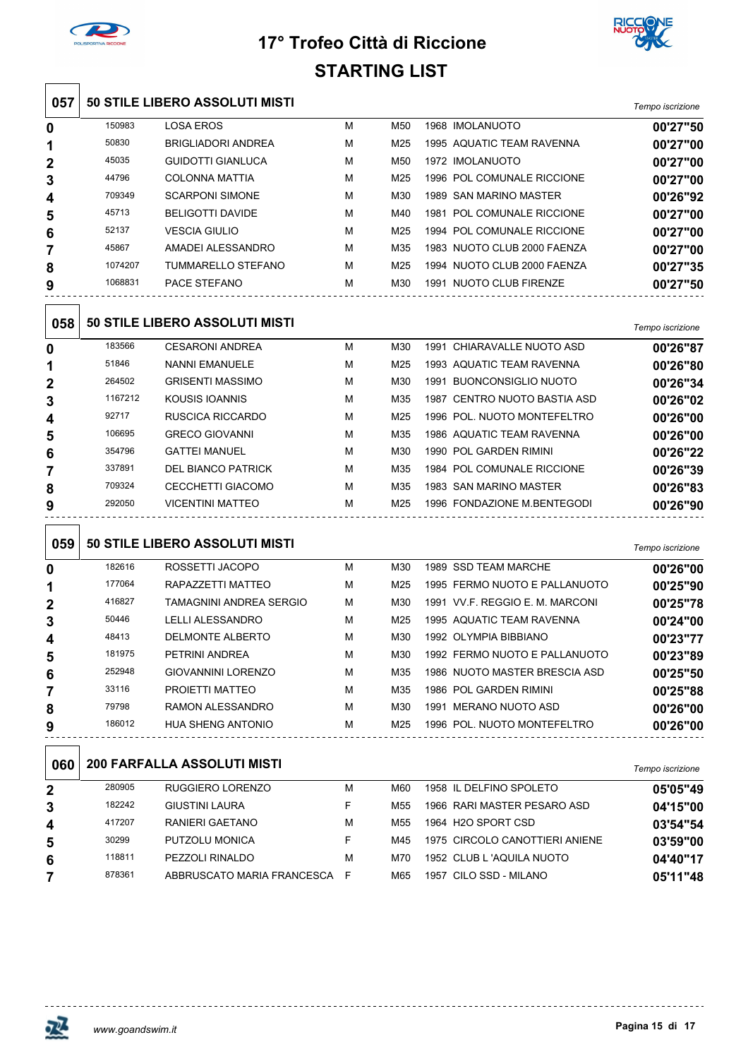



| 057 |         | <b>50 STILE LIBERO ASSOLUTI MISTI</b> |   |     |                                      | Tempo iscrizione |
|-----|---------|---------------------------------------|---|-----|--------------------------------------|------------------|
| 0   | 150983  | <b>LOSA EROS</b>                      | M | M50 | 1968 IMOLANUOTO                      | 00'27"50         |
| 1   | 50830   | <b>BRIGLIADORI ANDREA</b>             | М | M25 | 1995 AQUATIC TEAM RAVENNA            | 00'27"00         |
| 2   | 45035   | <b>GUIDOTTI GIANLUCA</b>              | M | M50 | 1972 IMOLANUOTO                      | 00'27"00         |
| 3   | 44796   | <b>COLONNA MATTIA</b>                 | М | M25 | 1996 POL COMUNALE RICCIONE           | 00'27"00         |
| 4   | 709349  | <b>SCARPONI SIMONE</b>                | M | M30 | <b>SAN MARINO MASTER</b><br>1989     | 00'26"92         |
| 5   | 45713   | <b>BELIGOTTI DAVIDE</b>               | М | M40 | <b>POL COMUNALE RICCIONE</b><br>1981 | 00'27"00         |
| 6   | 52137   | <b>VESCIA GIULIO</b>                  | M | M25 | 1994 POL COMUNALE RICCIONE           | 00'27"00         |
| 7   | 45867   | AMADEI ALESSANDRO                     | M | M35 | 1983 NUOTO CLUB 2000 FAENZA          | 00'27"00         |
| 8   | 1074207 | <b>TUMMARELLO STEFANO</b>             | M | M25 | 1994 NUOTO CLUB 2000 FAENZA          | 00'27"35         |
| 9   | 1068831 | PACE STEFANO                          | М | M30 | 1991 NUOTO CLUB FIRENZE              | 00'27"50         |
| 058 |         | 50 STILE LIBERO ASSOLUTI MISTI        |   |     |                                      | Tempo iscrizione |
| 0   | 183566  | <b>CESARONI ANDREA</b>                | M | M30 | CHIARAVALLE NUOTO ASD<br>1991        | 00'26"87         |
| 1   | 51846   | <b>NANNI EMANUELE</b>                 | М | M25 | 1993 AQUATIC TEAM RAVENNA            | 00'26"80         |
| 2   | 264502  | <b>GRISENTI MASSIMO</b>               | M | M30 | <b>BUONCONSIGLIO NUOTO</b><br>1991   | 00'26"34         |
| 3   | 1167212 | <b>KOUSIS IOANNIS</b>                 | M | M35 | 1987 CENTRO NUOTO BASTIA ASD         | 00'26"02         |
| 4   | 92717   | <b>RUSCICA RICCARDO</b>               | M | M25 | 1996 POL. NUOTO MONTEFELTRO          | 00'26"00         |
| 5   | 106695  | <b>GRECO GIOVANNI</b>                 | М | M35 | 1986 AQUATIC TEAM RAVENNA            | 00'26"00         |
| 6   | 354796  | <b>GATTEI MANUEL</b>                  | M | M30 | 1990 POL GARDEN RIMINI               | 00'26"22         |
| 7   | 337891  | <b>DEL BIANCO PATRICK</b>             | М | M35 | 1984 POL COMUNALE RICCIONE           | 00'26"39         |
| 8   | 709324  | <b>CECCHETTI GIACOMO</b>              | М | M35 | 1983 SAN MARINO MASTER               | 00'26"83         |
| 9   | 292050  | <b>VICENTINI MATTEO</b>               | М | M25 | 1996 FONDAZIONE M.BENTEGODI          | 00'26"90         |

| 059            |        | <b>50 STILE LIBERO ASSOLUTI MISTI</b> |   |     |                                 | Tempo iscrizione |
|----------------|--------|---------------------------------------|---|-----|---------------------------------|------------------|
| 0              | 182616 | ROSSETTI JACOPO                       | M | M30 | 1989 SSD TEAM MARCHE            | 00'26"00         |
| 1              | 177064 | RAPAZZETTI MATTEO                     | M | M25 | 1995 FERMO NUOTO E PALLANUOTO   | 00'25"90         |
| $\overline{2}$ | 416827 | TAMAGNINI ANDREA SERGIO               | M | M30 | 1991 VV F. REGGIO E. M. MARCONI | 00'25"78         |
| 3              | 50446  | LELLI ALESSANDRO                      | M | M25 | 1995 AQUATIC TEAM RAVENNA       | 00'24"00         |
| 4              | 48413  | DELMONTE ALBERTO                      | M | M30 | 1992 OLYMPIA BIBBIANO           | 00'23"77         |
| 5              | 181975 | PETRINI ANDREA                        | M | M30 | 1992 FERMO NUOTO E PALLANUOTO   | 00'23"89         |
| 6              | 252948 | <b>GIOVANNINI LORENZO</b>             | M | M35 | 1986 NUOTO MASTER BRESCIA ASD   | 00'25"50         |
| 7              | 33116  | PROJETTI MATTEO                       | M | M35 | 1986 POL GARDEN RIMINI          | 00'25"88         |
| 8              | 79798  | RAMON ALESSANDRO                      | M | M30 | 1991 MERANO NUOTO ASD           | 00'26"00         |
| 9              | 186012 | <b>HUA SHENG ANTONIO</b>              | M | M25 | 1996 POL, NUOTO MONTEFELTRO     | 00'26"00         |
|                |        |                                       |   |     |                                 |                  |

 **200 FARFALLA ASSOLUTI MISTI** *Tempo iscrizione* RUGGIERO LORENZO M M60 1958 IL DELFINO SPOLETO **05'05"49** GIUSTINI LAURA F M55 1966 RARI MASTER PESARO ASD **04'15"00** RANIERI GAETANO M M55 1964 H2O SPORT CSD **03'54"54** PUTZOLU MONICA F M45 1975 CIRCOLO CANOTTIERI ANIENE **03'59"00** PEZZOLI RINALDO M M70 1952 CLUB L 'AQUILA NUOTO **04'40"17** ABBRUSCATO MARIA FRANCESCA F M65 1957 CILO SSD - MILANO **05'11"48**

<u>----------------------------</u>

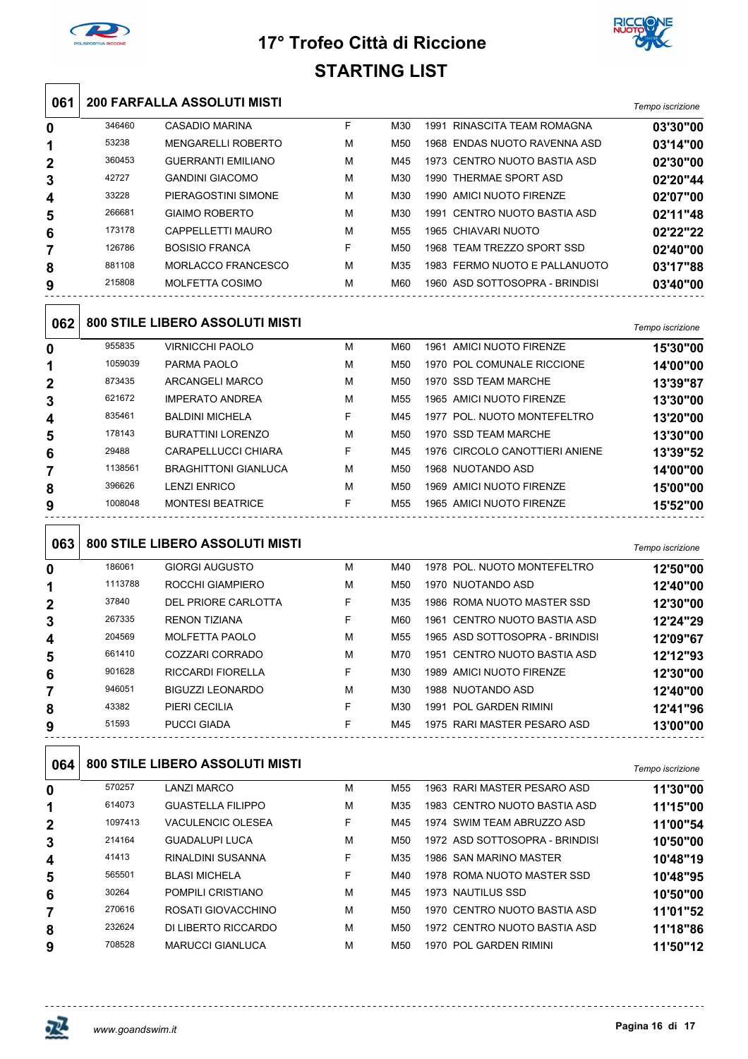



| 061            |         | <b>200 FARFALLA ASSOLUTI MISTI</b>     |   |                 |                                | Tempo iscrizione |
|----------------|---------|----------------------------------------|---|-----------------|--------------------------------|------------------|
| 0              | 346460  | <b>CASADIO MARINA</b>                  | F | M30             | 1991 RINASCITA TEAM ROMAGNA    | 03'30"00         |
| 1              | 53238   | <b>MENGARELLI ROBERTO</b>              | м | M <sub>50</sub> | 1968 ENDAS NUOTO RAVENNA ASD   | 03'14"00         |
| $\mathbf{2}$   | 360453  | <b>GUERRANTI EMILIANO</b>              | м | M45             | 1973 CENTRO NUOTO BASTIA ASD   | 02'30"00         |
| 3              | 42727   | <b>GANDINI GIACOMO</b>                 | м | M30             | 1990 THERMAE SPORT ASD         | 02'20"44         |
| 4              | 33228   | PIERAGOSTINI SIMONE                    | М | M30             | 1990 AMICI NUOTO FIRENZE       | 02'07"00         |
| 5              | 266681  | <b>GIAIMO ROBERTO</b>                  | М | M30             | 1991 CENTRO NUOTO BASTIA ASD   | 02'11"48         |
| 6              | 173178  | CAPPELLETTI MAURO                      | м | M <sub>55</sub> | 1965 CHIAVARI NUOTO            | 02'22"22         |
| 7              | 126786  | <b>BOSISIO FRANCA</b>                  | F | M <sub>50</sub> | 1968 TEAM TREZZO SPORT SSD     | 02'40"00         |
| 8              | 881108  | MORLACCO FRANCESCO                     | м | M35             | 1983 FERMO NUOTO E PALLANUOTO  | 03'17"88         |
| 9              | 215808  | <b>MOLFETTA COSIMO</b>                 | м | M60             | 1960 ASD SOTTOSOPRA - BRINDISI | 03'40"00         |
|                |         |                                        |   |                 |                                |                  |
| 062            |         | <b>800 STILE LIBERO ASSOLUTI MISTI</b> |   |                 |                                | Tempo iscrizione |
| 0              | 955835  | <b>VIRNICCHI PAOLO</b>                 | М | M60             | 1961 AMICI NUOTO FIRENZE       | 15'30"00         |
| 1              | 1059039 | PARMA PAOLO                            | М | M50             | 1970 POL COMUNALE RICCIONE     | 14'00"00         |
| $\mathbf{2}$   | 873435  | <b>ARCANGELI MARCO</b>                 | M | M50             | 1970 SSD TEAM MARCHE           | 13'39"87         |
| 3              | 621672  | <b>IMPERATO ANDREA</b>                 | М | M <sub>55</sub> | 1965 AMICI NUOTO FIRENZE       | 13'30"00         |
| 4              | 835461  | <b>BALDINI MICHELA</b>                 | F | M45             | 1977 POL. NUOTO MONTEFELTRO    | 13'20"00         |
| 5              | 178143  | <b>BURATTINI LORENZO</b>               | М | M <sub>50</sub> | 1970 SSD TEAM MARCHE           | 13'30"00         |
| 6              | 29488   | <b>CARAPELLUCCI CHIARA</b>             | F | M45             | 1976 CIRCOLO CANOTTIERI ANIENE | 13'39"52         |
| 7              | 1138561 | <b>BRAGHITTONI GIANLUCA</b>            | M | M50             | 1968 NUOTANDO ASD              | 14'00"00         |
| 8              | 396626  | <b>LENZI ENRICO</b>                    | м | M <sub>50</sub> | 1969 AMICI NUOTO FIRENZE       | 15'00"00         |
| 9              | 1008048 | <b>MONTESI BEATRICE</b>                | F | M <sub>55</sub> | 1965 AMICI NUOTO FIRENZE       | 15'52"00         |
|                |         |                                        |   |                 |                                |                  |
| 063            |         | 800 STILE LIBERO ASSOLUTI MISTI        |   |                 |                                | Tempo iscrizione |
| 0              | 186061  | <b>GIORGI AUGUSTO</b>                  | M | M40             | 1978 POL. NUOTO MONTEFELTRO    | 12'50"00         |
| 1              | 1113788 | ROCCHI GIAMPIERO                       | м | M <sub>50</sub> | 1970 NUOTANDO ASD              | 12'40"00         |
| $\overline{2}$ | 37840   | <b>DEL PRIORE CARLOTTA</b>             | F | M35             | 1986 ROMA NUOTO MASTER SSD     | 12'30"00         |

| $\overline{2}$ | 37840  | DEL PRIORE CARLOTTA      | F | M35             | 1986 ROMA NUOTO MASTER SSD     | 12'30"00 |
|----------------|--------|--------------------------|---|-----------------|--------------------------------|----------|
| 3              | 267335 | <b>RENON TIZIANA</b>     | F | M60             | 1961 CENTRO NUOTO BASTIA ASD   | 12'24"29 |
| 4              | 204569 | MOLFETTA PAOLO           | M | M <sub>55</sub> | 1965 ASD SOTTOSOPRA - BRINDISI | 12'09"67 |
| 5              | 661410 | COZZARI CORRADO          | M | M70             | 1951 CENTRO NUOTO BASTIA ASD   | 12'12"93 |
| 6              | 901628 | <b>RICCARDI FIORELLA</b> | F | M30             | 1989 AMICI NUOTO FIRENZE       | 12'30"00 |
| 7              | 946051 | BIGUZZI LEONARDO         | M | M30             | 1988 NUOTANDO ASD              | 12'40"00 |
| 8              | 43382  | PIERI CECILIA            | F | M30             | 1991 POL GARDEN RIMINI         | 12'41"96 |
| 9              | 51593  | <b>PUCCI GIADA</b>       | F | M45             | 1975 RARI MASTER PESARO ASD    | 13'00"00 |
|                |        |                          |   |                 |                                |          |

#### $\vert$  064 800 STILE LIBERO ASSOLUTI MISTI

| VVT.         |         | 000 011LL LIDLING AOGOLOTI INIO IT |   |     |                                | Tempo iscrizione |
|--------------|---------|------------------------------------|---|-----|--------------------------------|------------------|
| 0            | 570257  | <b>LANZI MARCO</b>                 | M | M55 | 1963 RARI MASTER PESARO ASD    | 11'30"00         |
| 1            | 614073  | <b>GUASTELLA FILIPPO</b>           | M | M35 | 1983 CENTRO NUOTO BASTIA ASD   | 11'15"00         |
| $\mathbf{2}$ | 1097413 | VACULENCIC OLESEA                  | F | M45 | 1974 SWIM TEAM ABRUZZO ASD     | 11'00"54         |
| 3            | 214164  | <b>GUADALUPI LUCA</b>              | M | M50 | 1972 ASD SOTTOSOPRA - BRINDISI | 10'50"00         |
| 4            | 41413   | RINALDINI SUSANNA                  | F | M35 | 1986 SAN MARINO MASTER         | 10'48"19         |
| 5            | 565501  | <b>BLASI MICHELA</b>               | F | M40 | 1978 ROMA NUOTO MASTER SSD     | 10'48"95         |
| 6            | 30264   | POMPILI CRISTIANO                  | M | M45 | 1973 NAUTILUS SSD              | 10'50"00         |
| 7            | 270616  | ROSATI GIOVACCHINO                 | M | M50 | 1970 CENTRO NUOTO BASTIA ASD   | 11'01"52         |
| 8            | 232624  | DI LIBERTO RICCARDO                | M | M50 | 1972 CENTRO NUOTO BASTIA ASD   | 11'18"86         |
| 9            | 708528  | <b>MARUCCI GIANLUCA</b>            | M | M50 | 1970 POL GARDEN RIMINI         | 11'50"12         |
|              |         |                                    |   |     |                                |                  |



. . . . . . . . . . . . . . .